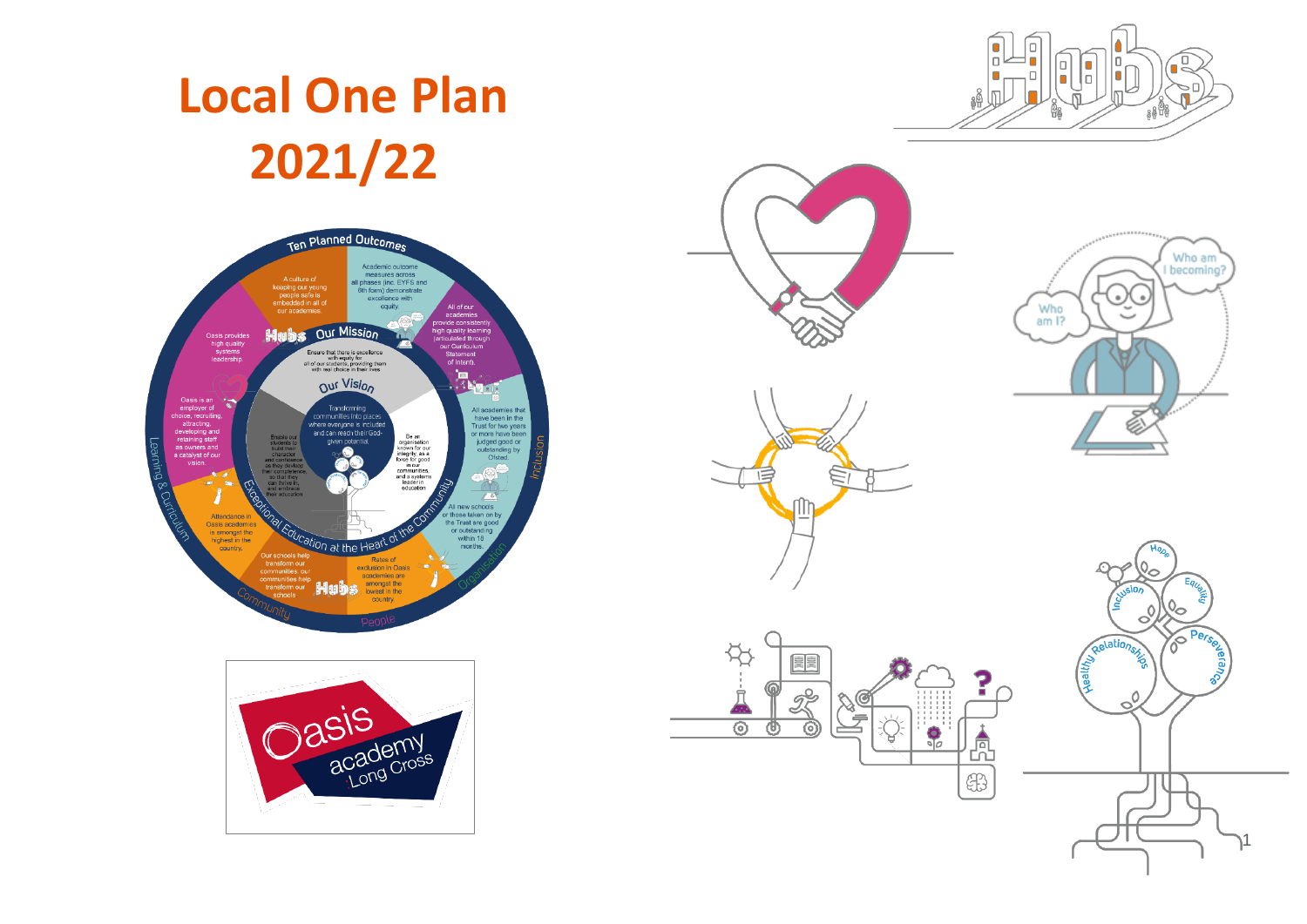

# **Local One Plan 2021/22**





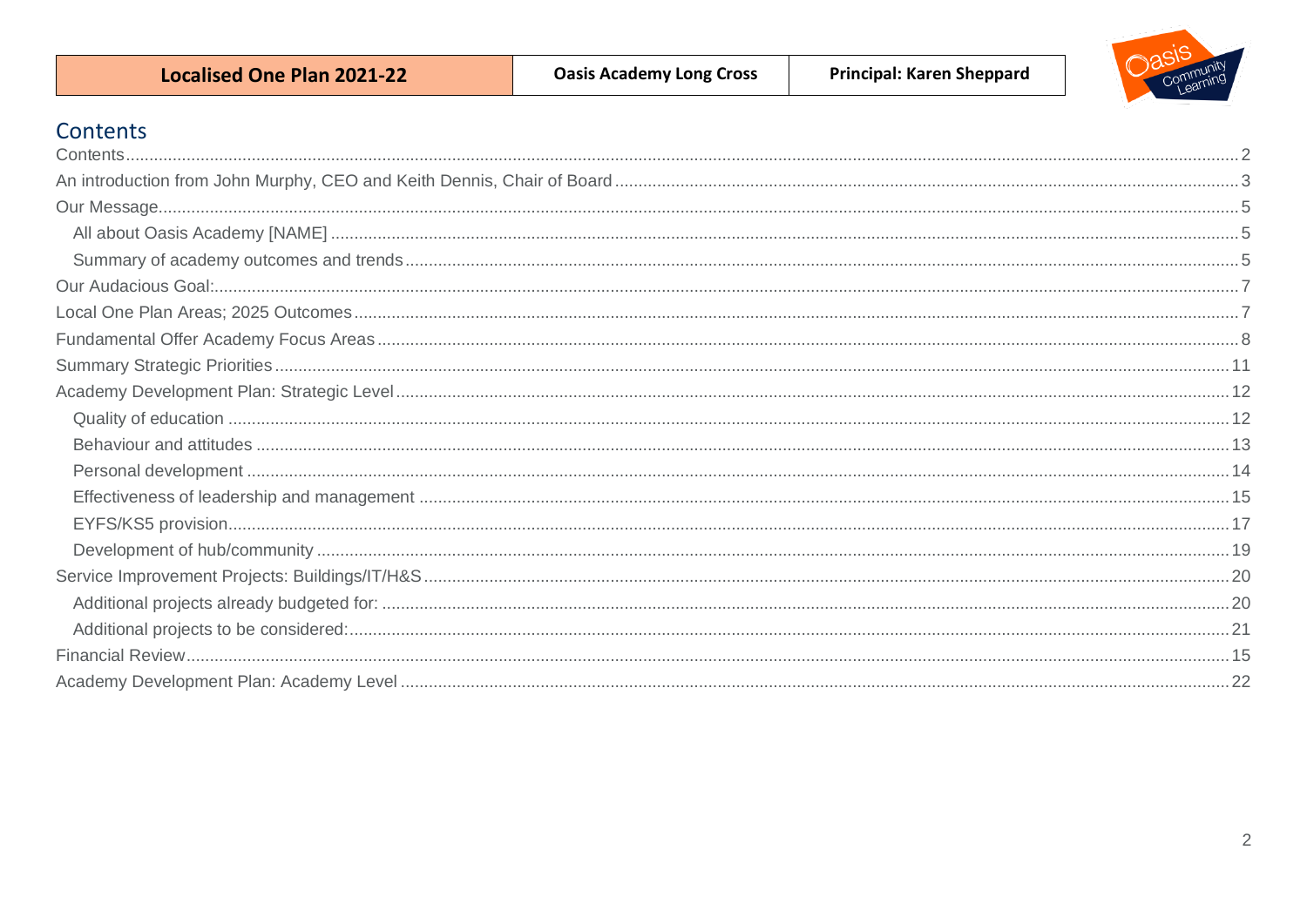<span id="page-1-0"></span>

| <b>Localised One Plan 2021-22</b> | <b>Oasis Academy Long Cross</b> | <b>Principal: Karen Sheppard</b> |  |
|-----------------------------------|---------------------------------|----------------------------------|--|
| Contents                          |                                 |                                  |  |
|                                   |                                 |                                  |  |
|                                   |                                 |                                  |  |
|                                   |                                 |                                  |  |
|                                   |                                 |                                  |  |
|                                   |                                 |                                  |  |
|                                   |                                 |                                  |  |
|                                   |                                 |                                  |  |
|                                   |                                 |                                  |  |
|                                   |                                 |                                  |  |
|                                   |                                 |                                  |  |
|                                   |                                 |                                  |  |
|                                   |                                 |                                  |  |
|                                   |                                 |                                  |  |
|                                   |                                 |                                  |  |
|                                   |                                 |                                  |  |
|                                   |                                 |                                  |  |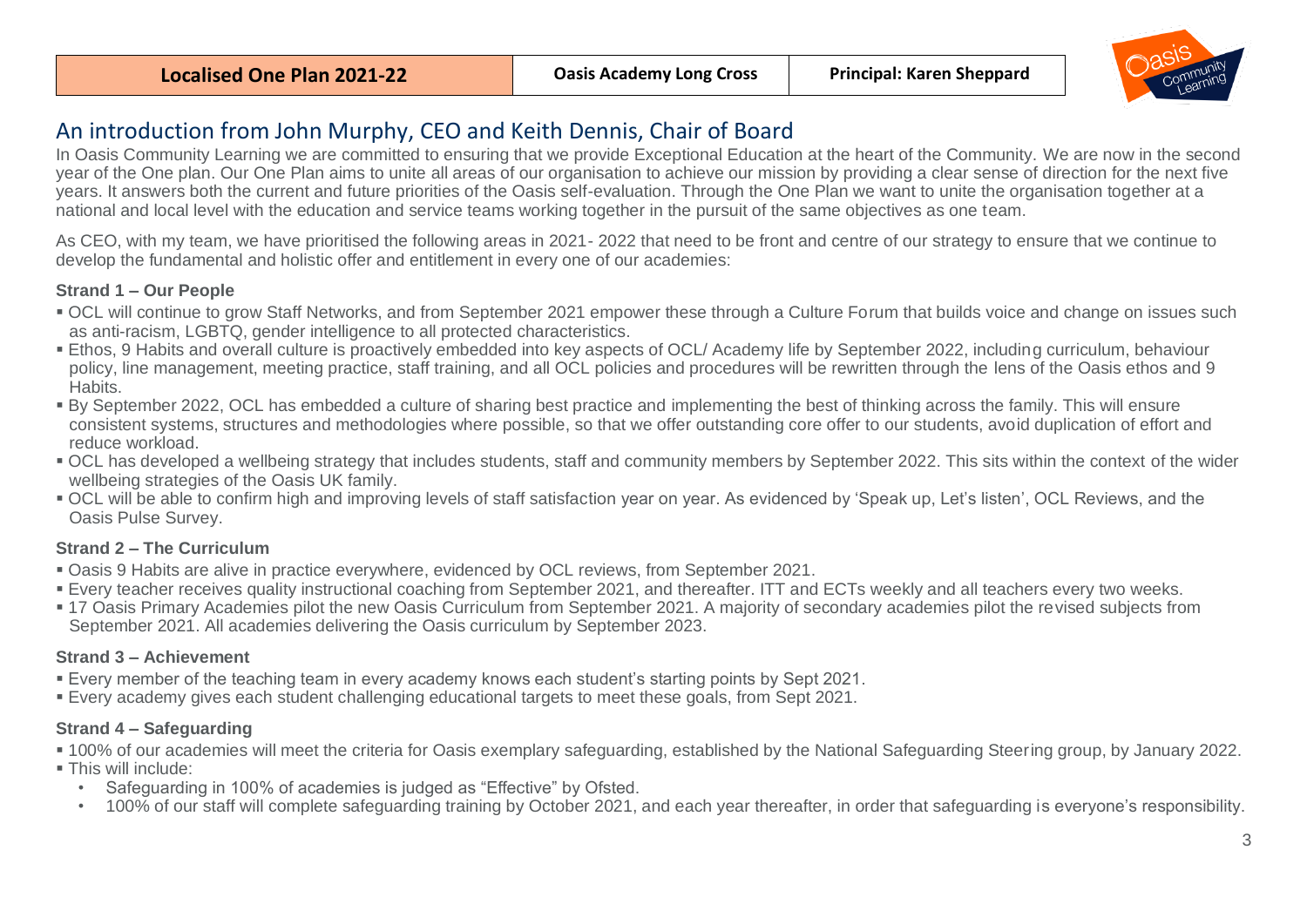

# <span id="page-2-0"></span>An introduction from John Murphy, CEO and Keith Dennis, Chair of Board

In Oasis Community Learning we are committed to ensuring that we provide Exceptional Education at the heart of the Community. We are now in the second year of the One plan. Our One Plan aims to unite all areas of our organisation to achieve our mission by providing a clear sense of direction for the next five years. It answers both the current and future priorities of the Oasis self-evaluation. Through the One Plan we want to unite the organisation together at a national and local level with the education and service teams working together in the pursuit of the same objectives as one team.

As CEO, with my team, we have prioritised the following areas in 2021- 2022 that need to be front and centre of our strategy to ensure that we continue to develop the fundamental and holistic offer and entitlement in every one of our academies:

## **Strand 1 – Our People**

- OCL will continue to grow Staff Networks, and from September 2021 empower these through a Culture Forum that builds voice and change on issues such as anti-racism, LGBTQ, gender intelligence to all protected characteristics.
- Ethos, 9 Habits and overall culture is proactively embedded into key aspects of OCL/ Academy life by September 2022, including curriculum, behaviour policy, line management, meeting practice, staff training, and all OCL policies and procedures will be rewritten through the lens of the Oasis ethos and 9 Habits.
- By September 2022, OCL has embedded a culture of sharing best practice and implementing the best of thinking across the family. This will ensure consistent systems, structures and methodologies where possible, so that we offer outstanding core offer to our students, avoid duplication of effort and reduce workload.
- OCL has developed a wellbeing strategy that includes students, staff and community members by September 2022. This sits within the context of the wider wellbeing strategies of the Oasis UK family.
- OCL will be able to confirm high and improving levels of staff satisfaction year on year. As evidenced by 'Speak up, Let's listen', OCL Reviews, and the Oasis Pulse Survey.

## **Strand 2 – The Curriculum**

- Oasis 9 Habits are alive in practice everywhere, evidenced by OCL reviews, from September 2021.
- Every teacher receives quality instructional coaching from September 2021, and thereafter. ITT and ECTs weekly and all teachers every two weeks.
- 17 Oasis Primary Academies pilot the new Oasis Curriculum from September 2021. A majority of secondary academies pilot the revised subjects from September 2021. All academies delivering the Oasis curriculum by September 2023.

## **Strand 3 – Achievement**

- Every member of the teaching team in every academy knows each student's starting points by Sept 2021.
- Every academy gives each student challenging educational targets to meet these goals, from Sept 2021.

## **Strand 4 – Safeguarding**

- 100% of our academies will meet the criteria for Oasis exemplary safeguarding, established by the National Safeguarding Steering group, by January 2022.
- **This will include:** 
	- Safeguarding in 100% of academies is judged as "Effective" by Ofsted.
	- 100% of our staff will complete safeguarding training by October 2021, and each year thereafter, in order that safeguarding is everyone's responsibility.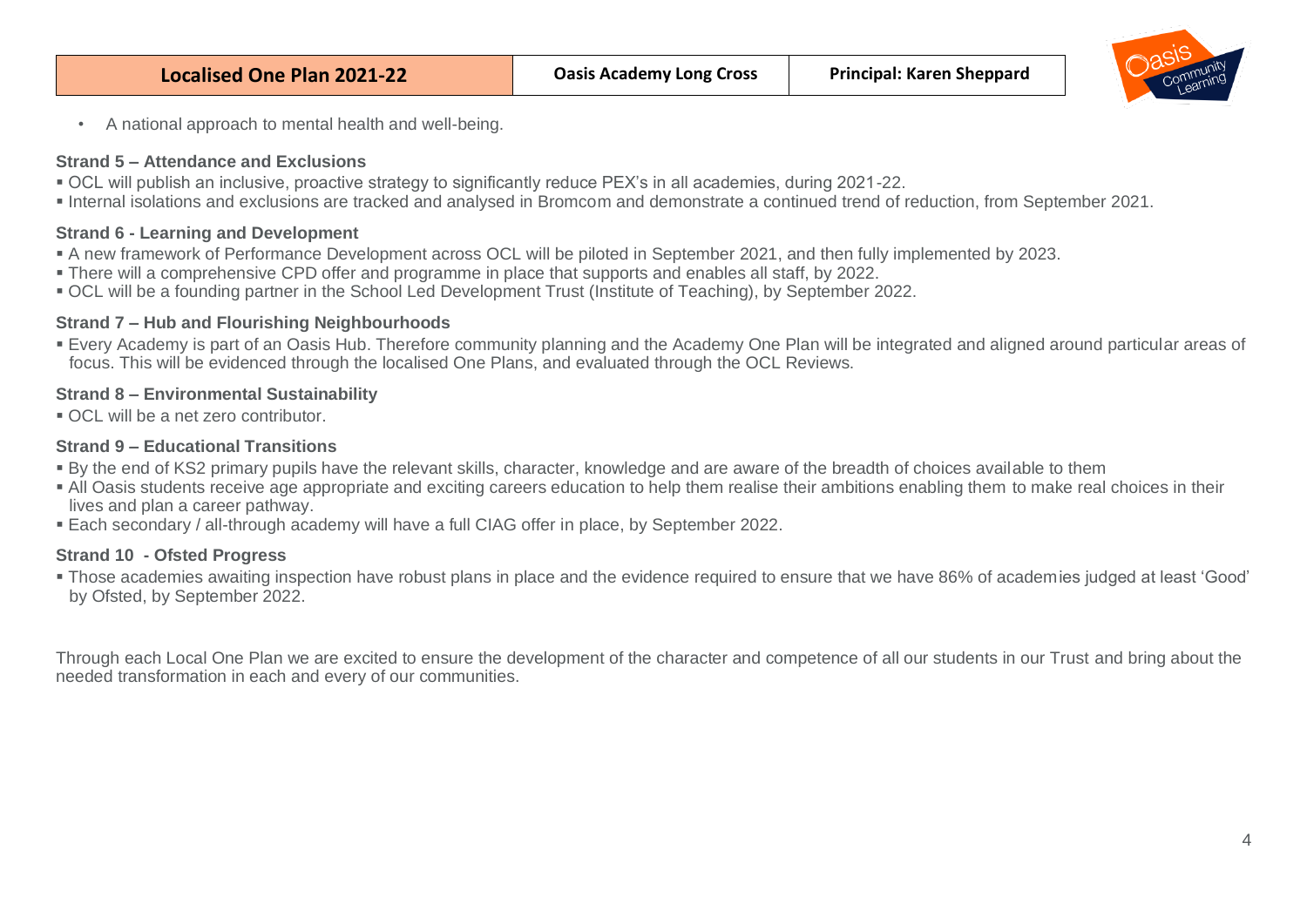

• A national approach to mental health and well-being.

#### **Strand 5 – Attendance and Exclusions**

- OCL will publish an inclusive, proactive strategy to significantly reduce PEX's in all academies, during 2021-22.
- Internal isolations and exclusions are tracked and analysed in Bromcom and demonstrate a continued trend of reduction, from September 2021.

#### **Strand 6 - Learning and Development**

- A new framework of Performance Development across OCL will be piloted in September 2021, and then fully implemented by 2023.
- There will a comprehensive CPD offer and programme in place that supports and enables all staff, by 2022.
- OCL will be a founding partner in the School Led Development Trust (Institute of Teaching), by September 2022.

#### **Strand 7 – Hub and Flourishing Neighbourhoods**

▪ Every Academy is part of an Oasis Hub. Therefore community planning and the Academy One Plan will be integrated and aligned around particular areas of focus. This will be evidenced through the localised One Plans, and evaluated through the OCL Reviews.

### **Strand 8 – Environmental Sustainability**

■ OCL will be a net zero contributor.

## **Strand 9 – Educational Transitions**

- By the end of KS2 primary pupils have the relevant skills, character, knowledge and are aware of the breadth of choices available to them
- All Oasis students receive age appropriate and exciting careers education to help them realise their ambitions enabling them to make real choices in their lives and plan a career pathway.
- Each secondary / all-through academy will have a full CIAG offer in place, by September 2022.

## **Strand 10 - Ofsted Progress**

▪ Those academies awaiting inspection have robust plans in place and the evidence required to ensure that we have 86% of academies judged at least 'Good' by Ofsted, by September 2022.

Through each Local One Plan we are excited to ensure the development of the character and competence of all our students in our Trust and bring about the needed transformation in each and every of our communities.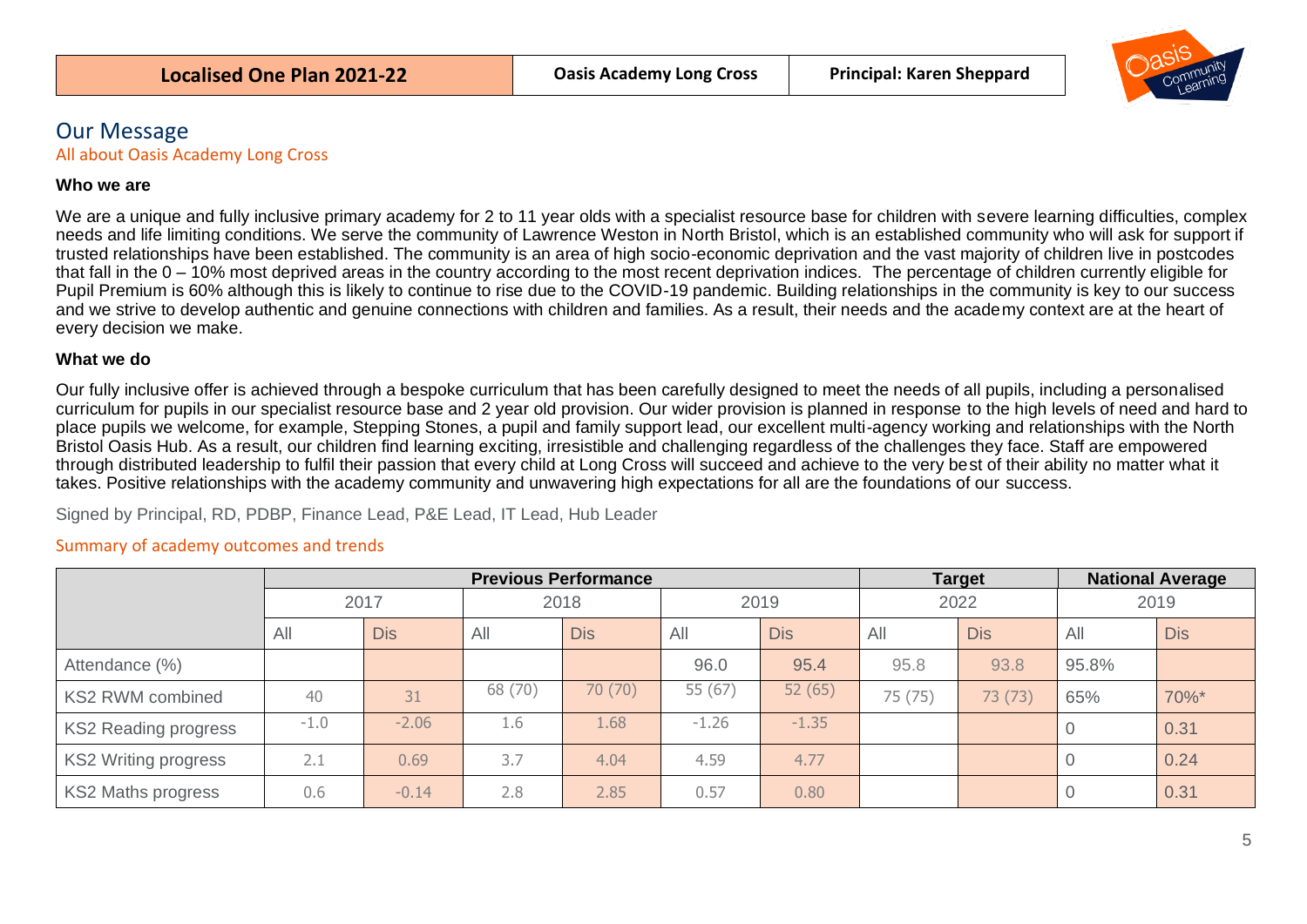

# <span id="page-4-0"></span>Our Message

<span id="page-4-1"></span>All about Oasis Academy Long Cross

#### **Who we are**

We are a unique and fully inclusive primary academy for 2 to 11 year olds with a specialist resource base for children with severe learning difficulties, complex needs and life limiting conditions. We serve the community of Lawrence Weston in North Bristol, which is an established community who will ask for support if trusted relationships have been established. The community is an area of high socio-economic deprivation and the vast majority of children live in postcodes that fall in the 0 – 10% most deprived areas in the country according to the most recent deprivation indices. The percentage of children currently eligible for Pupil Premium is 60% although this is likely to continue to rise due to the COVID-19 pandemic. Building relationships in the community is key to our success and we strive to develop authentic and genuine connections with children and families. As a result, their needs and the academy context are at the heart of every decision we make.

#### **What we do**

Our fully inclusive offer is achieved through a bespoke curriculum that has been carefully designed to meet the needs of all pupils, including a personalised curriculum for pupils in our specialist resource base and 2 year old provision. Our wider provision is planned in response to the high levels of need and hard to place pupils we welcome, for example, Stepping Stones, a pupil and family support lead, our excellent multi-agency working and relationships with the North Bristol Oasis Hub. As a result, our children find learning exciting, irresistible and challenging regardless of the challenges they face. Staff are empowered through distributed leadership to fulfil their passion that every child at Long Cross will succeed and achieve to the very best of their ability no matter what it takes. Positive relationships with the academy community and unwavering high expectations for all are the foundations of our success.

Signed by Principal, RD, PDBP, Finance Lead, P&E Lead, IT Lead, Hub Leader

#### <span id="page-4-2"></span>Summary of academy outcomes and trends

|                             | <b>Previous Performance</b> |            |         |            |         |            |         | <b>Target</b> |       | <b>National Average</b> |  |
|-----------------------------|-----------------------------|------------|---------|------------|---------|------------|---------|---------------|-------|-------------------------|--|
|                             | 2017                        |            | 2018    |            | 2019    |            | 2022    |               | 2019  |                         |  |
|                             | All                         | <b>Dis</b> | All     | <b>Dis</b> | All     | <b>Dis</b> | All     | <b>Dis</b>    | All   | <b>Dis</b>              |  |
| Attendance (%)              |                             |            |         |            | 96.0    | 95.4       | 95.8    | 93.8          | 95.8% |                         |  |
| <b>KS2 RWM combined</b>     | 40                          | 31         | 68 (70) | 70 (70)    | 55 (67) | 52(65)     | 75 (75) | 73 (73)       | 65%   | 70%*                    |  |
| <b>KS2 Reading progress</b> | $-1.0$                      | $-2.06$    | 1.6     | 1.68       | $-1.26$ | $-1.35$    |         |               |       | 0.31                    |  |
| <b>KS2 Writing progress</b> | 2.1                         | 0.69       | 3.7     | 4.04       | 4.59    | 4.77       |         |               |       | 0.24                    |  |
| <b>KS2 Maths progress</b>   | 0.6                         | $-0.14$    | 2.8     | 2.85       | 0.57    | 0.80       |         |               |       | 0.31                    |  |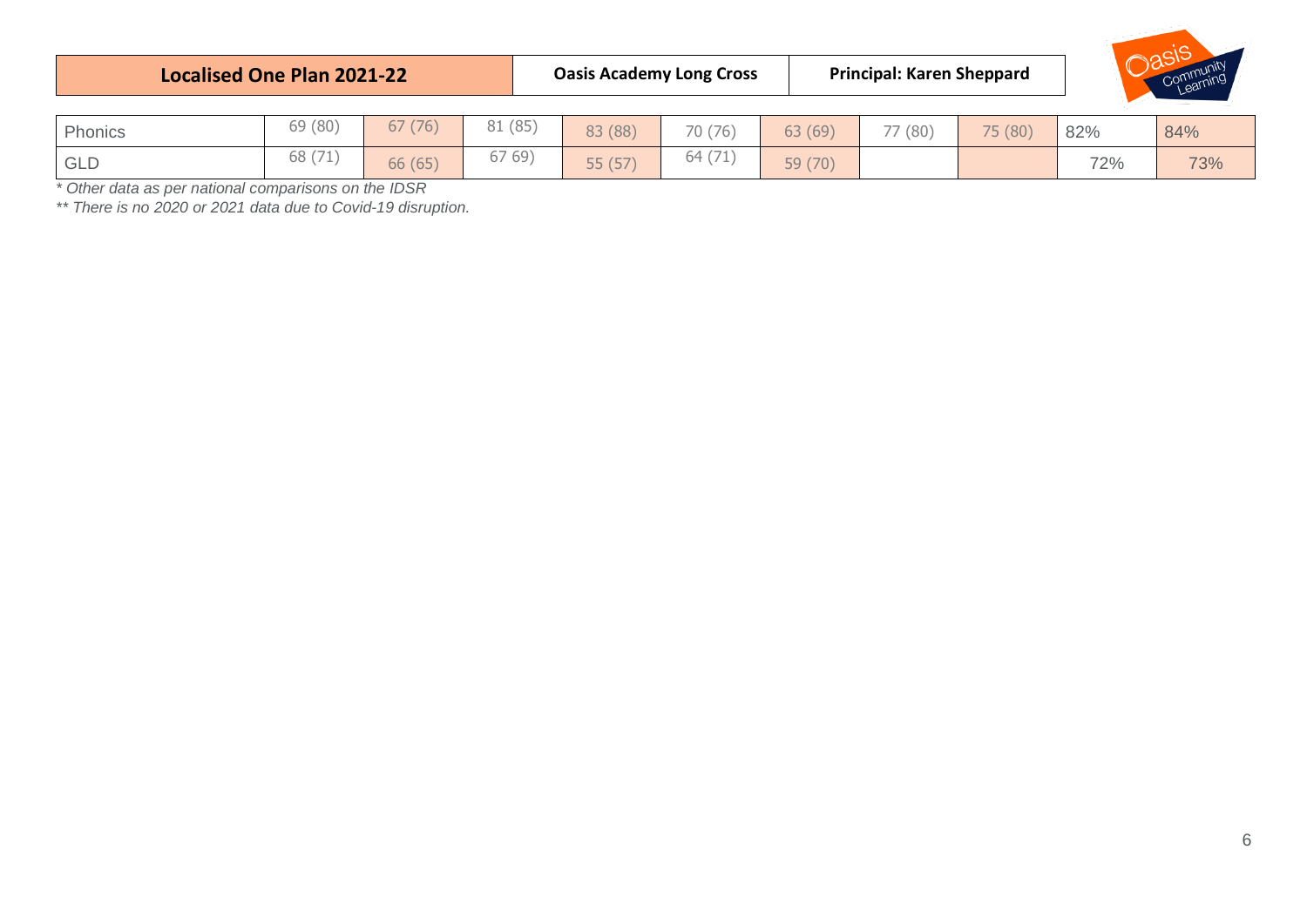| <b>Localised One Plan 2021-22</b> |         |         |         | <b>Oasis Academy Long Cross</b> |         |         | <b>Principal: Karen Sheppard</b> |         |     | Community |  |
|-----------------------------------|---------|---------|---------|---------------------------------|---------|---------|----------------------------------|---------|-----|-----------|--|
| Phonics                           | 69 (80) | 67(76)  | 81 (85) | 83 (88)                         | 70 (76) | 63 (69) | 77 (80)                          | 75 (80) | 82% | 84%       |  |
| <b>GLD</b>                        | 68 (71) | 66 (65) | 6769)   | 55 (57)                         | 64 (71  | 59 (70) |                                  |         | 72% | 73%       |  |

*\* Other data as per national comparisons on the IDSR*

*\*\* There is no 2020 or 2021 data due to Covid-19 disruption.*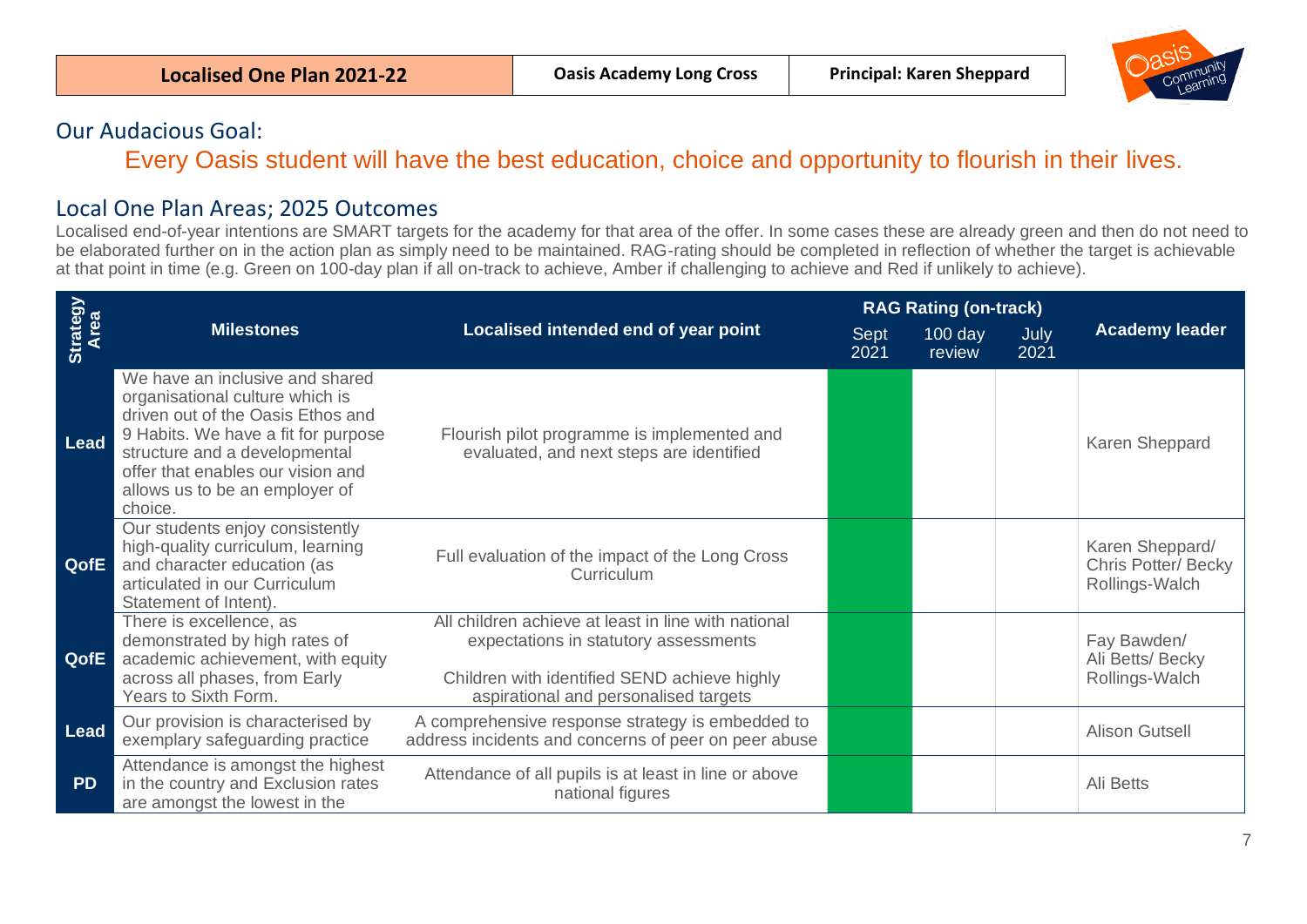

# <span id="page-6-0"></span>Our Audacious Goal:

Every Oasis student will have the best education, choice and opportunity to flourish in their lives.

# <span id="page-6-1"></span>Local One Plan Areas; 2025 Outcomes

Localised end-of-year intentions are SMART targets for the academy for that area of the offer. In some cases these are already green and then do not need to be elaborated further on in the action plan as simply need to be maintained. RAG-rating should be completed in reflection of whether the target is achievable at that point in time (e.g. Green on 100-day plan if all on-track to achieve, Amber if challenging to achieve and Red if unlikely to achieve).

|                         |                                                                                                                                                                                                                                                                   |                                                                                                                                                                                       |              | <b>RAG Rating (on-track)</b> |              |                                                         |  |
|-------------------------|-------------------------------------------------------------------------------------------------------------------------------------------------------------------------------------------------------------------------------------------------------------------|---------------------------------------------------------------------------------------------------------------------------------------------------------------------------------------|--------------|------------------------------|--------------|---------------------------------------------------------|--|
| Strategy<br><b>Area</b> | <b>Milestones</b>                                                                                                                                                                                                                                                 | Localised intended end of year point                                                                                                                                                  | Sept<br>2021 | $100$ day<br>review          | July<br>2021 | <b>Academy leader</b>                                   |  |
| Lead                    | We have an inclusive and shared<br>organisational culture which is<br>driven out of the Oasis Ethos and<br>9 Habits. We have a fit for purpose<br>structure and a developmental<br>offer that enables our vision and<br>allows us to be an employer of<br>choice. | Flourish pilot programme is implemented and<br>evaluated, and next steps are identified                                                                                               |              |                              |              | Karen Sheppard                                          |  |
| QofE                    | Our students enjoy consistently<br>high-quality curriculum, learning<br>and character education (as<br>articulated in our Curriculum<br>Statement of Intent).                                                                                                     | Full evaluation of the impact of the Long Cross<br>Curriculum                                                                                                                         |              |                              |              | Karen Sheppard/<br>Chris Potter/Becky<br>Rollings-Walch |  |
| QofE                    | There is excellence, as<br>demonstrated by high rates of<br>academic achievement, with equity<br>across all phases, from Early<br>Years to Sixth Form.                                                                                                            | All children achieve at least in line with national<br>expectations in statutory assessments<br>Children with identified SEND achieve highly<br>aspirational and personalised targets |              |                              |              | Fay Bawden/<br>Ali Betts/ Becky<br>Rollings-Walch       |  |
| <b>Lead</b>             | Our provision is characterised by<br>exemplary safeguarding practice                                                                                                                                                                                              | A comprehensive response strategy is embedded to<br>address incidents and concerns of peer on peer abuse                                                                              |              |                              |              | <b>Alison Gutsell</b>                                   |  |
| <b>PD</b>               | Attendance is amongst the highest<br>in the country and Exclusion rates<br>are amongst the lowest in the                                                                                                                                                          | Attendance of all pupils is at least in line or above<br>national figures                                                                                                             |              |                              |              | Ali Betts                                               |  |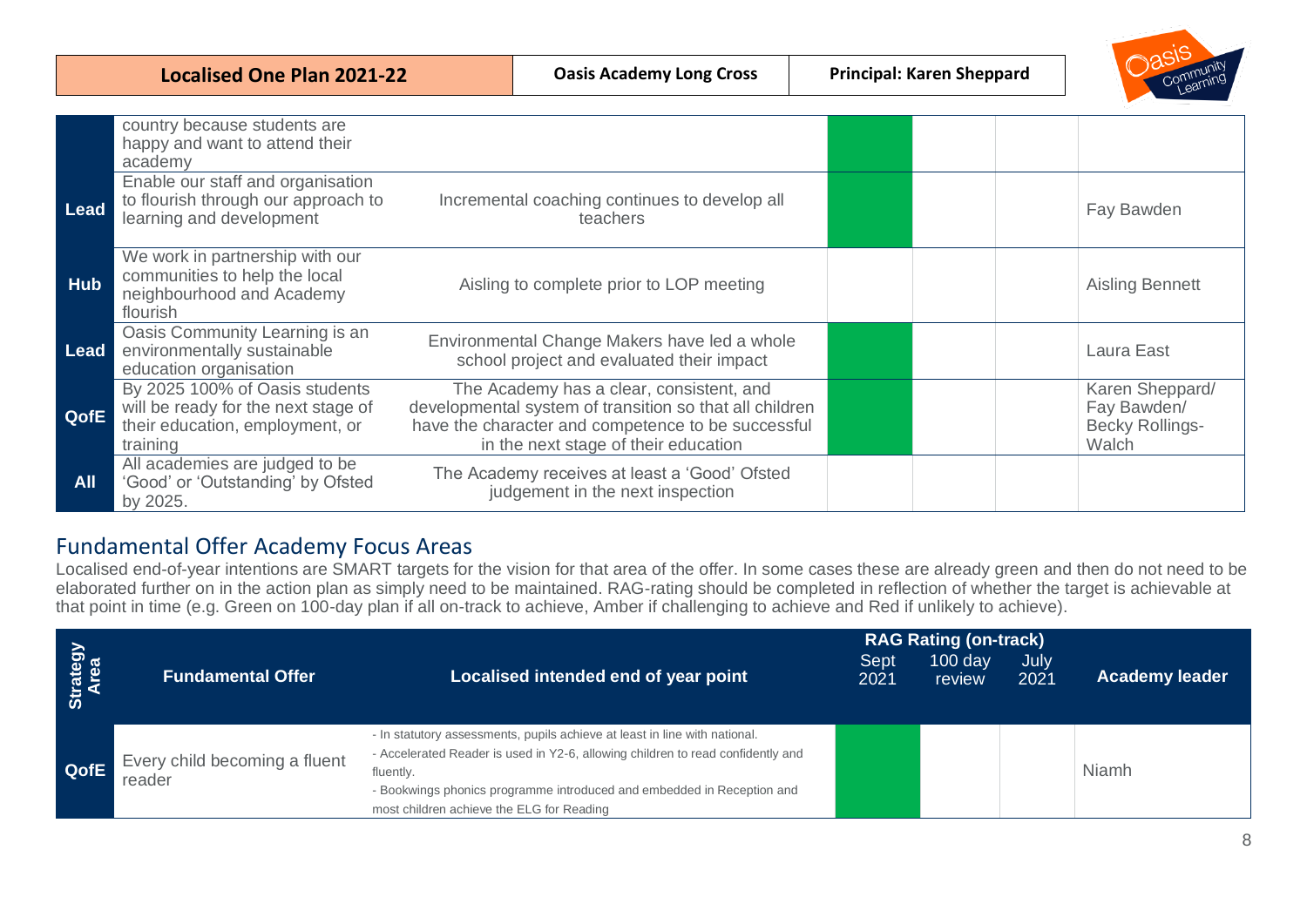|            | <b>Localised One Plan 2021-22</b>                                                                                    |  | <b>Oasis Academy Long Cross</b>                                                                                                                                                                   | <b>Principal: Karen Sheppard</b> |                                                                   |
|------------|----------------------------------------------------------------------------------------------------------------------|--|---------------------------------------------------------------------------------------------------------------------------------------------------------------------------------------------------|----------------------------------|-------------------------------------------------------------------|
|            |                                                                                                                      |  |                                                                                                                                                                                                   |                                  |                                                                   |
|            | country because students are<br>happy and want to attend their<br>academy                                            |  |                                                                                                                                                                                                   |                                  |                                                                   |
| Lead       | Enable our staff and organisation<br>to flourish through our approach to<br>learning and development                 |  | Incremental coaching continues to develop all<br>teachers                                                                                                                                         |                                  | Fay Bawden                                                        |
| Hub        | We work in partnership with our<br>communities to help the local<br>neighbourhood and Academy<br>flourish            |  | Aisling to complete prior to LOP meeting                                                                                                                                                          |                                  | <b>Aisling Bennett</b>                                            |
| Lead       | Oasis Community Learning is an<br>environmentally sustainable<br>education organisation                              |  | Environmental Change Makers have led a whole<br>school project and evaluated their impact                                                                                                         |                                  | Laura East                                                        |
| QofE       | By 2025 100% of Oasis students<br>will be ready for the next stage of<br>their education, employment, or<br>training |  | The Academy has a clear, consistent, and<br>developmental system of transition so that all children<br>have the character and competence to be successful<br>in the next stage of their education |                                  | Karen Sheppard/<br>Fay Bawden/<br><b>Becky Rollings-</b><br>Walch |
| <b>All</b> | All academies are judged to be<br>'Good' or 'Outstanding' by Ofsted<br>by 2025.                                      |  | The Academy receives at least a 'Good' Ofsted<br>judgement in the next inspection                                                                                                                 |                                  |                                                                   |

# <span id="page-7-0"></span>Fundamental Offer Academy Focus Areas

Localised end-of-year intentions are SMART targets for the vision for that area of the offer. In some cases these are already green and then do not need to be elaborated further on in the action plan as simply need to be maintained. RAG-rating should be completed in reflection of whether the target is achievable at that point in time (e.g. Green on 100-day plan if all on-track to achieve, Amber if challenging to achieve and Red if unlikely to achieve).

| Strategy<br>Area | <b>Fundamental Offer</b>                | Localised intended end of year point                                                                                                                                                                                                                                                              | Sept<br>2021 | <b>RAG Rating (on-track)</b><br>$100$ day<br>review | July<br>2021 | <b>Academy leader</b> |
|------------------|-----------------------------------------|---------------------------------------------------------------------------------------------------------------------------------------------------------------------------------------------------------------------------------------------------------------------------------------------------|--------------|-----------------------------------------------------|--------------|-----------------------|
| QofE             | Every child becoming a fluent<br>reader | - In statutory assessments, pupils achieve at least in line with national.<br>- Accelerated Reader is used in Y2-6, allowing children to read confidently and<br>fluently.<br>- Bookwings phonics programme introduced and embedded in Reception and<br>most children achieve the ELG for Reading |              |                                                     |              | <b>Niamh</b>          |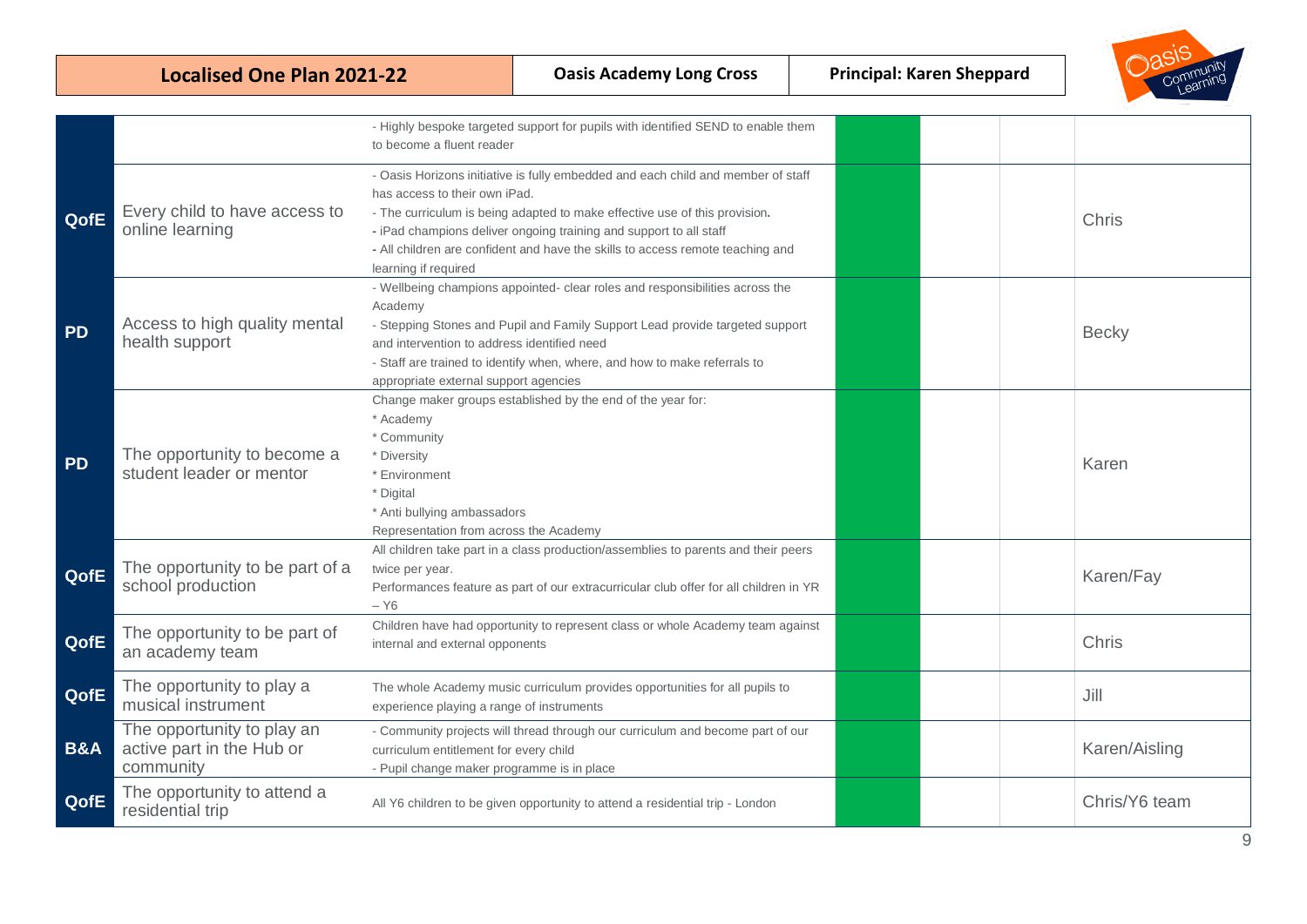|                | <b>Localised One Plan 2021-22</b>                                    |                                                                                                                                                | <b>Oasis Academy Long Cross</b>                                                                                                                                                                                                                                                                                        | <b>Principal: Karen Sheppard</b> | Community     |
|----------------|----------------------------------------------------------------------|------------------------------------------------------------------------------------------------------------------------------------------------|------------------------------------------------------------------------------------------------------------------------------------------------------------------------------------------------------------------------------------------------------------------------------------------------------------------------|----------------------------------|---------------|
|                |                                                                      | to become a fluent reader                                                                                                                      | - Highly bespoke targeted support for pupils with identified SEND to enable them                                                                                                                                                                                                                                       |                                  |               |
| QofE           | Every child to have access to<br>online learning                     | has access to their own iPad.<br>learning if required                                                                                          | - Oasis Horizons initiative is fully embedded and each child and member of staff<br>- The curriculum is being adapted to make effective use of this provision.<br>- iPad champions deliver ongoing training and support to all staff<br>- All children are confident and have the skills to access remote teaching and |                                  | Chris         |
| <b>PD</b>      | Access to high quality mental<br>health support                      | Academy<br>and intervention to address identified need<br>appropriate external support agencies                                                | - Wellbeing champions appointed- clear roles and responsibilities across the<br>- Stepping Stones and Pupil and Family Support Lead provide targeted support<br>- Staff are trained to identify when, where, and how to make referrals to                                                                              |                                  | <b>Becky</b>  |
| <b>PD</b>      | The opportunity to become a<br>student leader or mentor              | * Academy<br>* Community<br>* Diversity<br>* Environment<br>* Digital<br>* Anti bullying ambassadors<br>Representation from across the Academy | Change maker groups established by the end of the year for:                                                                                                                                                                                                                                                            |                                  | Karen         |
| QofE           | The opportunity to be part of a<br>school production                 | twice per year.<br>$- Y6$                                                                                                                      | All children take part in a class production/assemblies to parents and their peers<br>Performances feature as part of our extracurricular club offer for all children in YR                                                                                                                                            |                                  | Karen/Fay     |
| QofE           | The opportunity to be part of<br>an academy team                     | internal and external opponents                                                                                                                | Children have had opportunity to represent class or whole Academy team against                                                                                                                                                                                                                                         |                                  | Chris         |
| QofE           | The opportunity to play a<br>musical instrument                      | experience playing a range of instruments                                                                                                      | The whole Academy music curriculum provides opportunities for all pupils to                                                                                                                                                                                                                                            |                                  | Jill          |
| <b>B&amp;A</b> | The opportunity to play an<br>active part in the Hub or<br>community | curriculum entitlement for every child<br>- Pupil change maker programme is in place                                                           | - Community projects will thread through our curriculum and become part of our                                                                                                                                                                                                                                         |                                  | Karen/Aisling |
| QofE           | The opportunity to attend a<br>residential trip                      |                                                                                                                                                | All Y6 children to be given opportunity to attend a residential trip - London                                                                                                                                                                                                                                          |                                  | Chris/Y6 team |

へに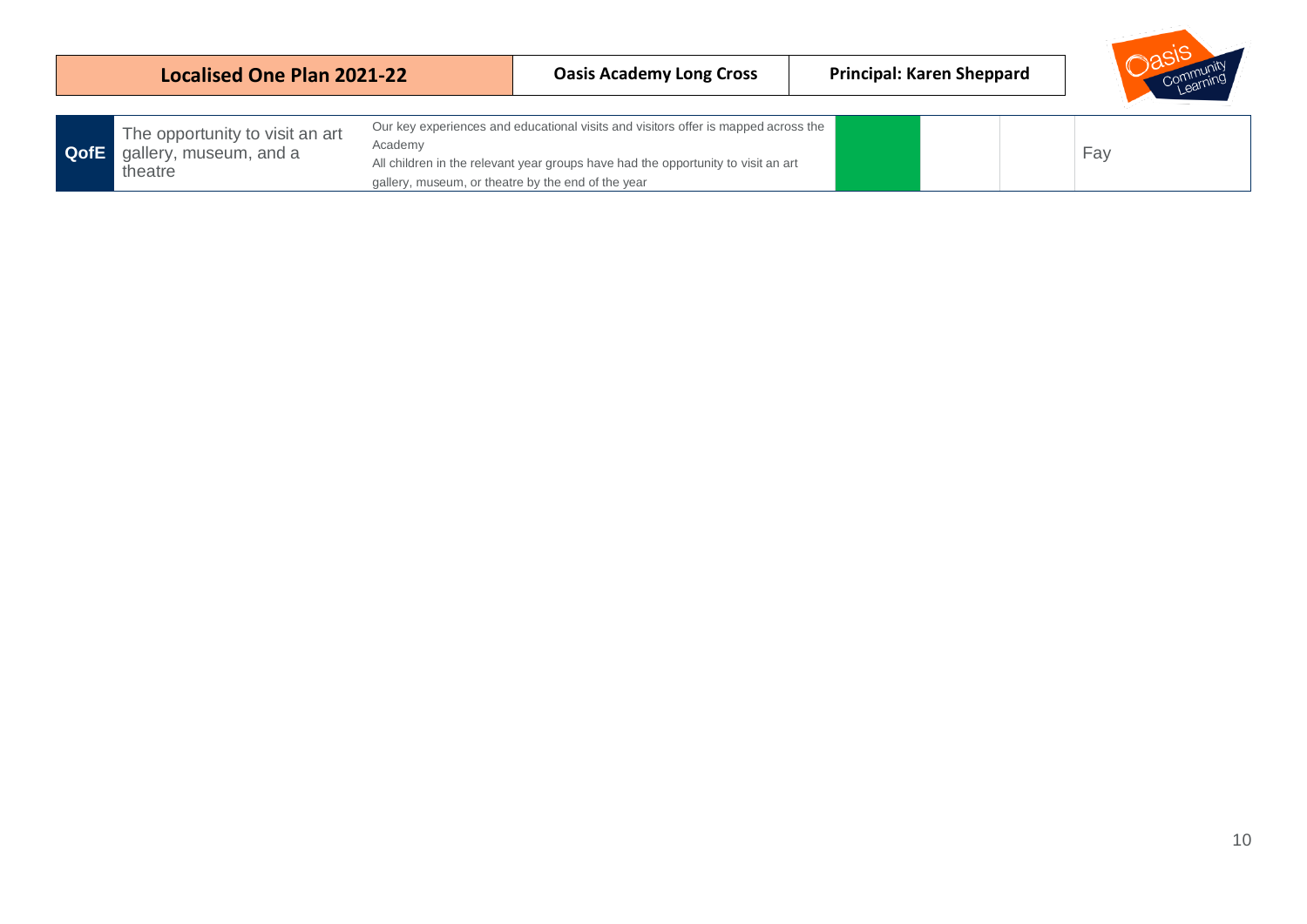|      | <b>Localised One Plan 2021-22</b>                                    |                                                               | <b>Oasis Academy Long Cross</b>                                                                                                                                         | <b>Principal: Karen Sheppard</b> |     |
|------|----------------------------------------------------------------------|---------------------------------------------------------------|-------------------------------------------------------------------------------------------------------------------------------------------------------------------------|----------------------------------|-----|
| QofE | The opportunity to visit an art<br>gallery, museum, and a<br>theatre | Academy<br>gallery, museum, or theatre by the end of the year | Our key experiences and educational visits and visitors offer is mapped across the<br>All children in the relevant year groups have had the opportunity to visit an art |                                  | Fay |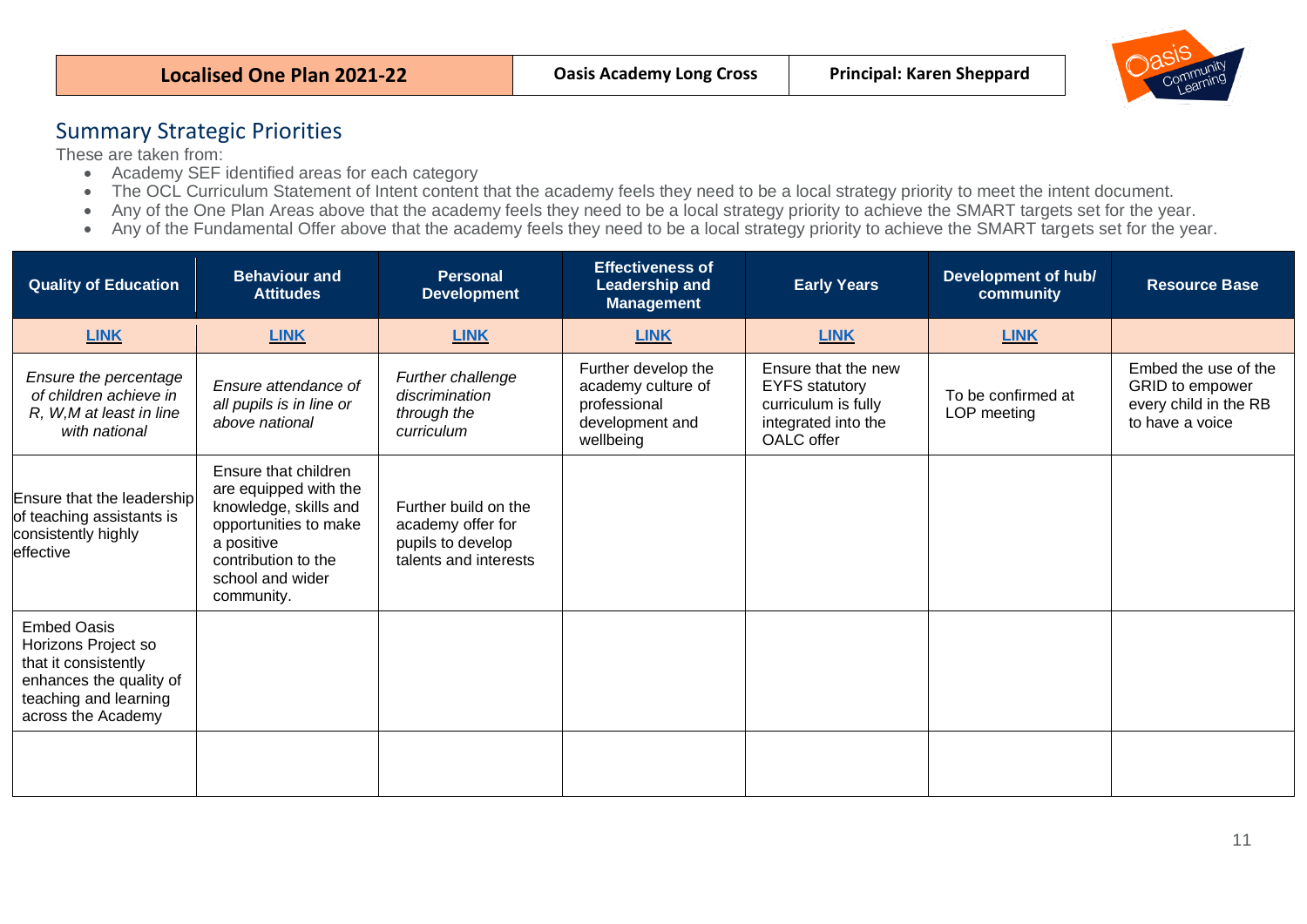| <b>Principal: Karen Sheppard</b><br><b>Oasis Academy Long Cross</b><br>Localised One Plan 2021-22 |  |  |  | Communit |
|---------------------------------------------------------------------------------------------------|--|--|--|----------|
|---------------------------------------------------------------------------------------------------|--|--|--|----------|

## <span id="page-10-0"></span>Summary Strategic Priorities

These are taken from:

- Academy SEF identified areas for each category
- The OCL Curriculum Statement of Intent content that the academy feels they need to be a local strategy priority to meet the intent document.
- Any of the One Plan Areas above that the academy feels they need to be a local strategy priority to achieve the SMART targets set for the year.
- Any of the Fundamental Offer above that the academy feels they need to be a local strategy priority to achieve the SMART targets set for the year.

| <b>Behaviour and</b><br><b>Quality of Education</b><br><b>Attitudes</b>                                                                     |                                                                                                                                                                        | <b>Personal</b><br><b>Development</b>                                                   | <b>Effectiveness of</b><br><b>Leadership and</b><br><b>Management</b>                     | <b>Early Years</b>                                                                                       | Development of hub/<br>community  | <b>Resource Base</b>                                                                |
|---------------------------------------------------------------------------------------------------------------------------------------------|------------------------------------------------------------------------------------------------------------------------------------------------------------------------|-----------------------------------------------------------------------------------------|-------------------------------------------------------------------------------------------|----------------------------------------------------------------------------------------------------------|-----------------------------------|-------------------------------------------------------------------------------------|
| <b>LINK</b>                                                                                                                                 | <b>LINK</b>                                                                                                                                                            | <b>LINK</b>                                                                             | <b>LINK</b>                                                                               | <b>LINK</b>                                                                                              | <b>LINK</b>                       |                                                                                     |
| Ensure the percentage<br>of children achieve in<br>R, W,M at least in line<br>with national                                                 | Ensure attendance of<br>all pupils is in line or<br>above national                                                                                                     | Further challenge<br>discrimination<br>through the<br>curriculum                        | Further develop the<br>academy culture of<br>professional<br>development and<br>wellbeing | Ensure that the new<br><b>EYFS</b> statutory<br>curriculum is fully<br>integrated into the<br>OALC offer | To be confirmed at<br>LOP meeting | Embed the use of the<br>GRID to empower<br>every child in the RB<br>to have a voice |
| Ensure that the leadership<br>of teaching assistants is<br>consistently highly<br>effective                                                 | Ensure that children<br>are equipped with the<br>knowledge, skills and<br>opportunities to make<br>a positive<br>contribution to the<br>school and wider<br>community. | Further build on the<br>academy offer for<br>pupils to develop<br>talents and interests |                                                                                           |                                                                                                          |                                   |                                                                                     |
| <b>Embed Oasis</b><br>Horizons Project so<br>that it consistently<br>enhances the quality of<br>teaching and learning<br>across the Academy |                                                                                                                                                                        |                                                                                         |                                                                                           |                                                                                                          |                                   |                                                                                     |
|                                                                                                                                             |                                                                                                                                                                        |                                                                                         |                                                                                           |                                                                                                          |                                   |                                                                                     |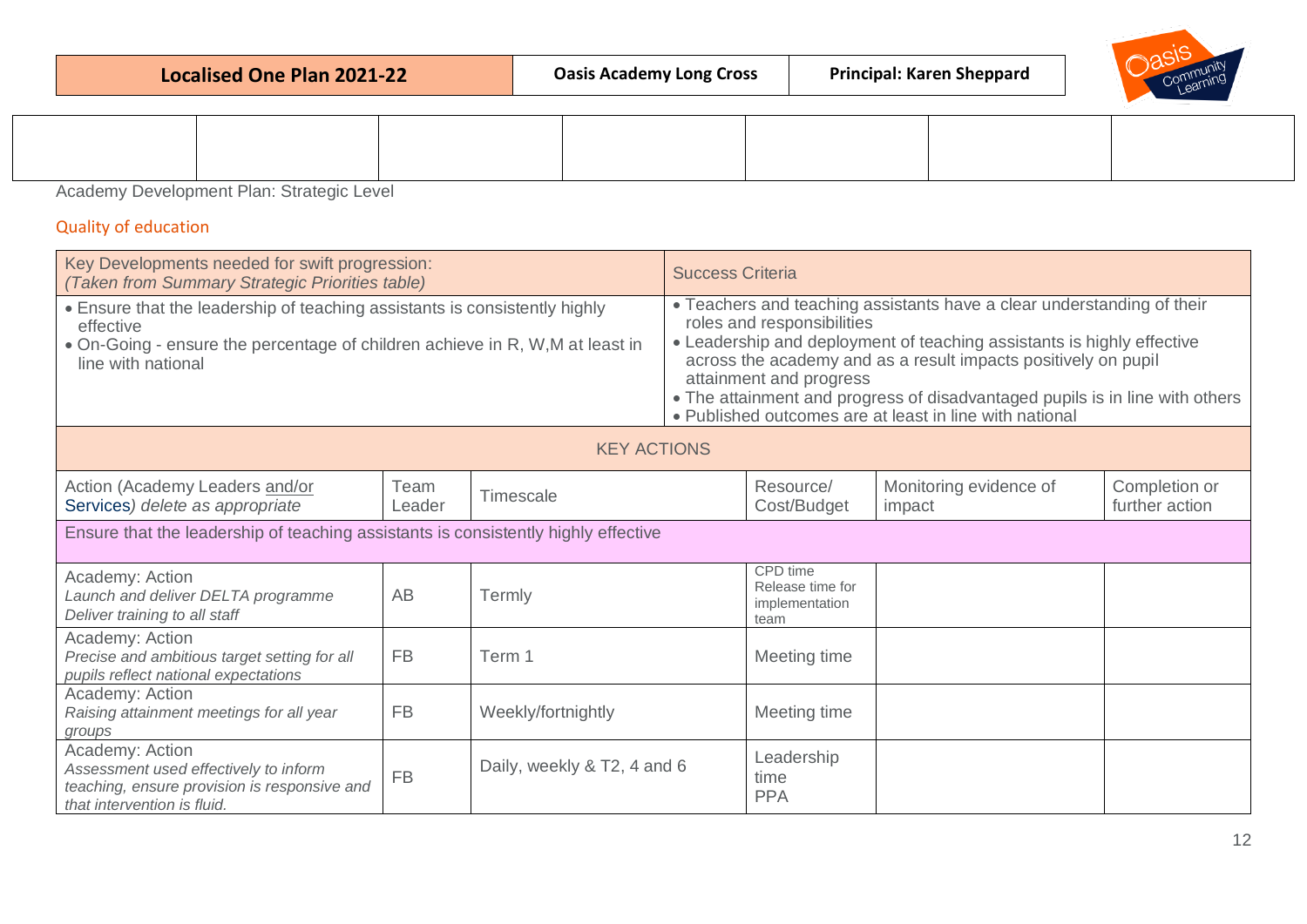|  |  | Localised One Plan 2021-22 |
|--|--|----------------------------|
|  |  |                            |



<span id="page-11-0"></span>Academy Development Plan: Strategic Level

## <span id="page-11-1"></span>Quality of education

| Key Developments needed for swift progression:<br>(Taken from Summary Strategic Priorities table)                                                                                              |                |                             |  | <b>Success Criteria</b>                                                                                                                                                                                                                                                                                                                                                                                                |                                  |                                 |  |
|------------------------------------------------------------------------------------------------------------------------------------------------------------------------------------------------|----------------|-----------------------------|--|------------------------------------------------------------------------------------------------------------------------------------------------------------------------------------------------------------------------------------------------------------------------------------------------------------------------------------------------------------------------------------------------------------------------|----------------------------------|---------------------------------|--|
| • Ensure that the leadership of teaching assistants is consistently highly<br>effective<br>• On-Going - ensure the percentage of children achieve in R, W, M at least in<br>line with national |                |                             |  | • Teachers and teaching assistants have a clear understanding of their<br>roles and responsibilities<br>• Leadership and deployment of teaching assistants is highly effective<br>across the academy and as a result impacts positively on pupil<br>attainment and progress<br>• The attainment and progress of disadvantaged pupils is in line with others<br>• Published outcomes are at least in line with national |                                  |                                 |  |
| <b>KEY ACTIONS</b>                                                                                                                                                                             |                |                             |  |                                                                                                                                                                                                                                                                                                                                                                                                                        |                                  |                                 |  |
| Action (Academy Leaders and/or<br>Services) delete as appropriate                                                                                                                              | Team<br>Leader | Timescale                   |  | Resource/<br>Cost/Budget                                                                                                                                                                                                                                                                                                                                                                                               | Monitoring evidence of<br>impact | Completion or<br>further action |  |
| Ensure that the leadership of teaching assistants is consistently highly effective                                                                                                             |                |                             |  |                                                                                                                                                                                                                                                                                                                                                                                                                        |                                  |                                 |  |
| Academy: Action<br>Launch and deliver DELTA programme<br>Deliver training to all staff                                                                                                         | AB             | Termly                      |  | CPD time<br>Release time for<br>implementation<br>team                                                                                                                                                                                                                                                                                                                                                                 |                                  |                                 |  |
| Academy: Action<br>Precise and ambitious target setting for all<br>pupils reflect national expectations                                                                                        | <b>FB</b>      | Term 1                      |  | Meeting time                                                                                                                                                                                                                                                                                                                                                                                                           |                                  |                                 |  |
| Academy: Action<br>Raising attainment meetings for all year<br>groups                                                                                                                          | <b>FB</b>      | Weekly/fortnightly          |  | Meeting time                                                                                                                                                                                                                                                                                                                                                                                                           |                                  |                                 |  |
| Academy: Action<br>Assessment used effectively to inform<br>teaching, ensure provision is responsive and<br>that intervention is fluid.                                                        | <b>FB</b>      | Daily, weekly & T2, 4 and 6 |  | Leadership<br>time<br><b>PPA</b>                                                                                                                                                                                                                                                                                                                                                                                       |                                  |                                 |  |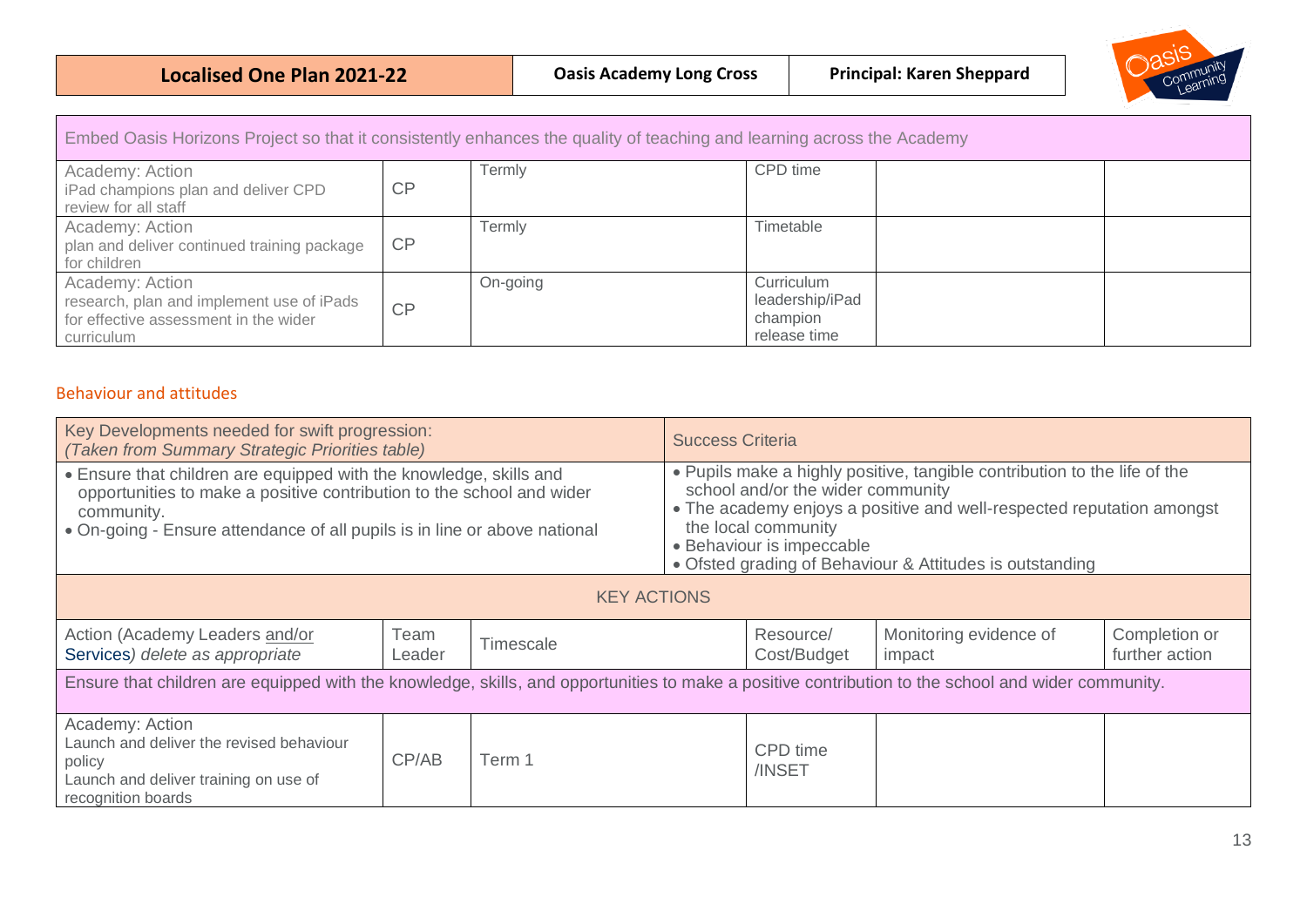

| Embed Oasis Horizons Project so that it consistently enhances the quality of teaching and learning across the Academy |    |          |                                                           |  |
|-----------------------------------------------------------------------------------------------------------------------|----|----------|-----------------------------------------------------------|--|
| Academy: Action<br>iPad champions plan and deliver CPD<br>review for all staff                                        | CP | Termly   | CPD time                                                  |  |
| Academy: Action<br>plan and deliver continued training package<br>for children                                        | CP | Termly   | Timetable                                                 |  |
| Academy: Action<br>research, plan and implement use of iPads<br>for effective assessment in the wider<br>curriculum   | CP | On-going | Curriculum<br>leadership/iPad<br>champion<br>release time |  |

## <span id="page-12-0"></span>Behaviour and attitudes

| Key Developments needed for swift progression:<br>(Taken from Summary Strategic Priorities table)                                                                                                                                      |                |                  | <b>Success Criteria</b> |                                                                                       |                                                                                                                                                                                                                |                                 |
|----------------------------------------------------------------------------------------------------------------------------------------------------------------------------------------------------------------------------------------|----------------|------------------|-------------------------|---------------------------------------------------------------------------------------|----------------------------------------------------------------------------------------------------------------------------------------------------------------------------------------------------------------|---------------------------------|
| . Ensure that children are equipped with the knowledge, skills and<br>opportunities to make a positive contribution to the school and wider<br>community.<br>• On-going - Ensure attendance of all pupils is in line or above national |                |                  |                         | school and/or the wider community<br>the local community<br>• Behaviour is impeccable | . Pupils make a highly positive, tangible contribution to the life of the<br>• The academy enjoys a positive and well-respected reputation amongst<br>• Ofsted grading of Behaviour & Attitudes is outstanding |                                 |
| <b>KEY ACTIONS</b>                                                                                                                                                                                                                     |                |                  |                         |                                                                                       |                                                                                                                                                                                                                |                                 |
| Action (Academy Leaders and/or<br>Services) delete as appropriate                                                                                                                                                                      | Team<br>Leader | <b>Timescale</b> |                         | Resource/<br>Cost/Budget                                                              | Monitoring evidence of<br>impact                                                                                                                                                                               | Completion or<br>further action |
| Ensure that children are equipped with the knowledge, skills, and opportunities to make a positive contribution to the school and wider community.                                                                                     |                |                  |                         |                                                                                       |                                                                                                                                                                                                                |                                 |
| Academy: Action<br>Launch and deliver the revised behaviour<br>policy<br>Launch and deliver training on use of<br>recognition boards                                                                                                   | CP/AB          | Term 1           |                         | CPD time<br>/INSET                                                                    |                                                                                                                                                                                                                |                                 |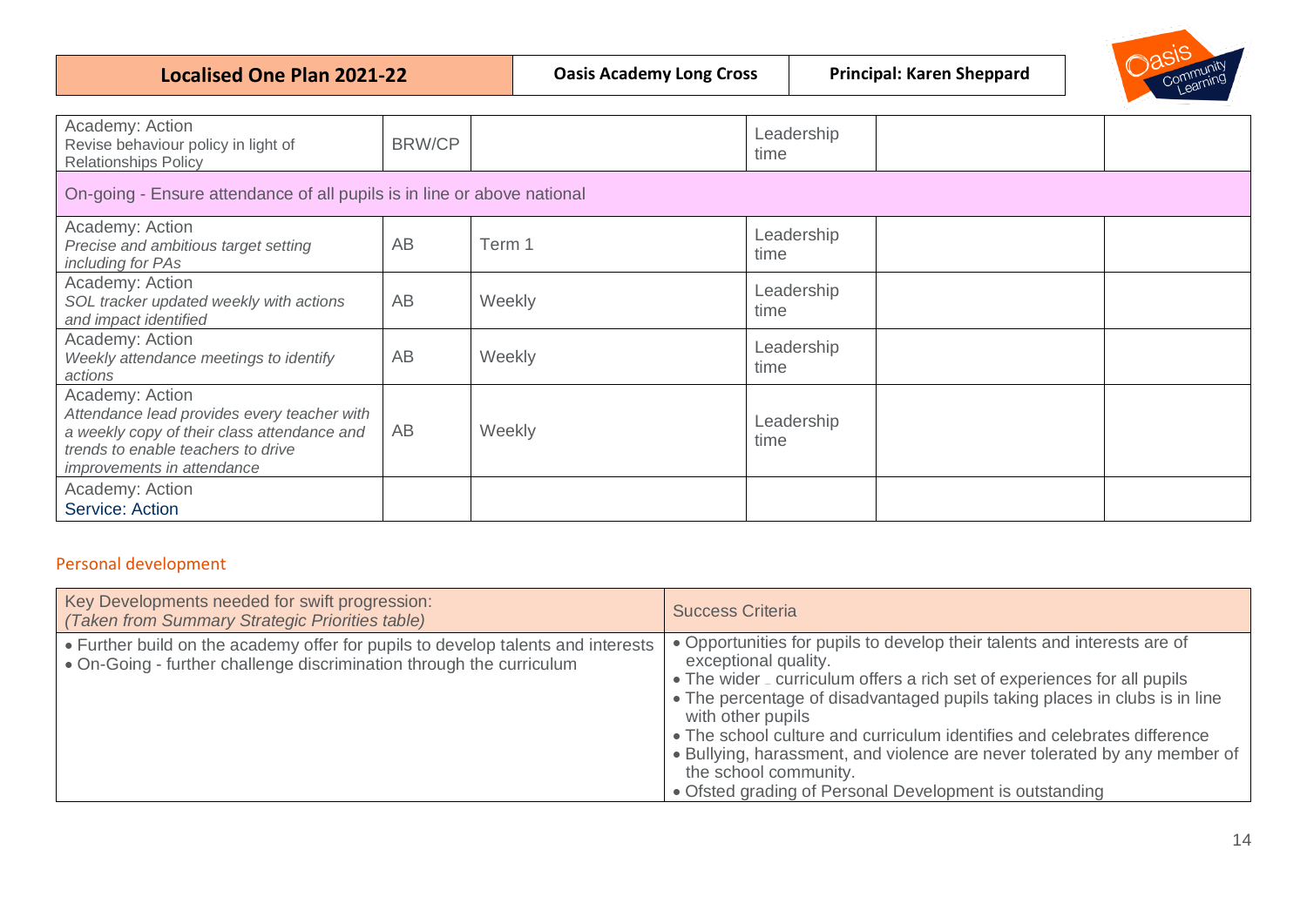| <b>Localised One Plan 2021-22</b> |  |  |
|-----------------------------------|--|--|
|                                   |  |  |



| Academy: Action<br>Revise behaviour policy in light of<br><b>Relationships Policy</b>                                                                                             | <b>BRW/CP</b> |        | Leadership<br>time |  |  |
|-----------------------------------------------------------------------------------------------------------------------------------------------------------------------------------|---------------|--------|--------------------|--|--|
| On-going - Ensure attendance of all pupils is in line or above national                                                                                                           |               |        |                    |  |  |
| Academy: Action<br>Precise and ambitious target setting<br>including for PAs                                                                                                      | AB            | Term 1 | Leadership<br>time |  |  |
| Academy: Action<br>SOL tracker updated weekly with actions<br>and impact identified                                                                                               | AB            | Weekly | Leadership<br>time |  |  |
| Academy: Action<br>Weekly attendance meetings to identify<br>actions                                                                                                              | AB            | Weekly | Leadership<br>time |  |  |
| Academy: Action<br>Attendance lead provides every teacher with<br>a weekly copy of their class attendance and<br>trends to enable teachers to drive<br>improvements in attendance | AB            | Weekly | Leadership<br>time |  |  |
| Academy: Action<br>Service: Action                                                                                                                                                |               |        |                    |  |  |

## <span id="page-13-0"></span>Personal development

| Key Developments needed for swift progression:<br>(Taken from Summary Strategic Priorities table)                                                        | <b>Success Criteria</b>                                                                                                                                                                                                                                                                                                                                                                                                                                                                                                      |
|----------------------------------------------------------------------------------------------------------------------------------------------------------|------------------------------------------------------------------------------------------------------------------------------------------------------------------------------------------------------------------------------------------------------------------------------------------------------------------------------------------------------------------------------------------------------------------------------------------------------------------------------------------------------------------------------|
| • Further build on the academy offer for pupils to develop talents and interests<br>• On-Going - further challenge discrimination through the curriculum | • Opportunities for pupils to develop their talents and interests are of<br>exceptional quality.<br>• The wider _ curriculum offers a rich set of experiences for all pupils<br>• The percentage of disadvantaged pupils taking places in clubs is in line<br>with other pupils<br>• The school culture and curriculum identifies and celebrates difference<br>• Bullying, harassment, and violence are never tolerated by any member of<br>the school community.<br>• Ofsted grading of Personal Development is outstanding |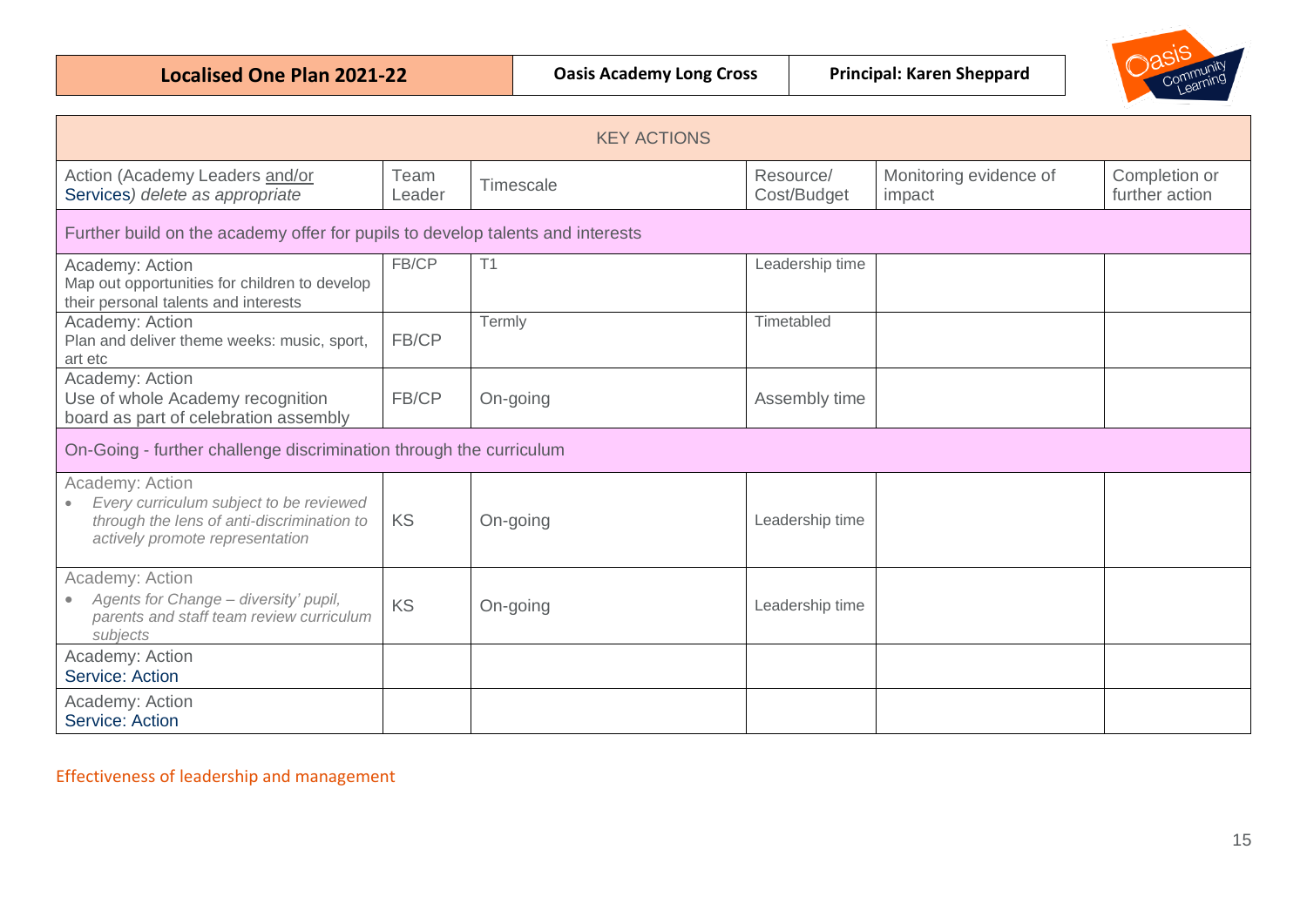**Localised One Plan 2021-22 Dasis Academy Long Cross** Principal: Karen Sheppard



| <b>KEY ACTIONS</b>                                                                                                                          |                |           |                          |                                  |                                 |
|---------------------------------------------------------------------------------------------------------------------------------------------|----------------|-----------|--------------------------|----------------------------------|---------------------------------|
| Action (Academy Leaders and/or<br>Services) delete as appropriate                                                                           | Team<br>Leader | Timescale | Resource/<br>Cost/Budget | Monitoring evidence of<br>impact | Completion or<br>further action |
| Further build on the academy offer for pupils to develop talents and interests                                                              |                |           |                          |                                  |                                 |
| Academy: Action<br>Map out opportunities for children to develop<br>their personal talents and interests                                    | FB/CP          | T1        | Leadership time          |                                  |                                 |
| Academy: Action<br>Plan and deliver theme weeks: music, sport,<br>art etc                                                                   | FB/CP          | Termly    | Timetabled               |                                  |                                 |
| Academy: Action<br>Use of whole Academy recognition<br>board as part of celebration assembly                                                | FB/CP          | On-going  | Assembly time            |                                  |                                 |
| On-Going - further challenge discrimination through the curriculum                                                                          |                |           |                          |                                  |                                 |
| Academy: Action<br>Every curriculum subject to be reviewed<br>through the lens of anti-discrimination to<br>actively promote representation | KS             | On-going  | Leadership time          |                                  |                                 |
| Academy: Action<br>Agents for Change - diversity' pupil,<br>parents and staff team review curriculum<br>subjects                            | KS             | On-going  | Leadership time          |                                  |                                 |
| Academy: Action<br>Service: Action                                                                                                          |                |           |                          |                                  |                                 |
| Academy: Action<br>Service: Action                                                                                                          |                |           |                          |                                  |                                 |

<span id="page-14-0"></span>Effectiveness of leadership and management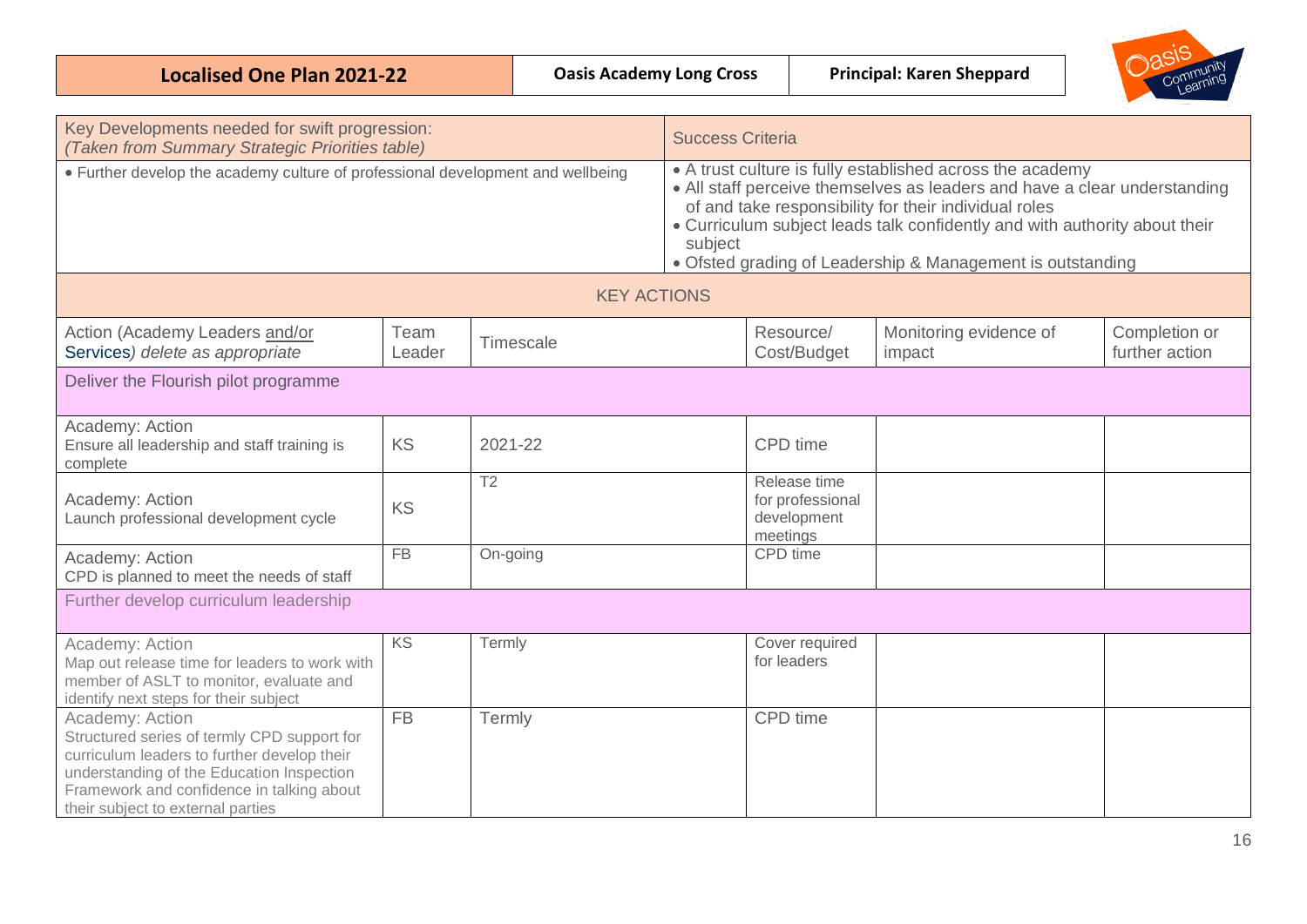| <b>Localised One Plan 2021-22</b> | <b>Oasis Academy Long Cross</b> | <b>Principal: Karen Sheppard</b> |  |  |
|-----------------------------------|---------------------------------|----------------------------------|--|--|
|-----------------------------------|---------------------------------|----------------------------------|--|--|

| Key Developments needed for swift progression:<br>(Taken from Summary Strategic Priorities table)                                                                                                                                            |                |                    | <b>Success Criteria</b>                                                                                                                                                                                                                                                                                                                                |                                                             |                                  |                                 |
|----------------------------------------------------------------------------------------------------------------------------------------------------------------------------------------------------------------------------------------------|----------------|--------------------|--------------------------------------------------------------------------------------------------------------------------------------------------------------------------------------------------------------------------------------------------------------------------------------------------------------------------------------------------------|-------------------------------------------------------------|----------------------------------|---------------------------------|
| • Further develop the academy culture of professional development and wellbeing                                                                                                                                                              |                |                    | • A trust culture is fully established across the academy<br>• All staff perceive themselves as leaders and have a clear understanding<br>of and take responsibility for their individual roles<br>• Curriculum subject leads talk confidently and with authority about their<br>subject<br>• Ofsted grading of Leadership & Management is outstanding |                                                             |                                  |                                 |
|                                                                                                                                                                                                                                              |                | <b>KEY ACTIONS</b> |                                                                                                                                                                                                                                                                                                                                                        |                                                             |                                  |                                 |
| Action (Academy Leaders and/or<br>Services) delete as appropriate                                                                                                                                                                            | Team<br>Leader | Timescale          |                                                                                                                                                                                                                                                                                                                                                        | Resource/<br>Cost/Budget                                    | Monitoring evidence of<br>impact | Completion or<br>further action |
| Deliver the Flourish pilot programme                                                                                                                                                                                                         |                |                    |                                                                                                                                                                                                                                                                                                                                                        |                                                             |                                  |                                 |
| Academy: Action<br>Ensure all leadership and staff training is<br>complete                                                                                                                                                                   | KS             | 2021-22            |                                                                                                                                                                                                                                                                                                                                                        | CPD time                                                    |                                  |                                 |
| Academy: Action<br>Launch professional development cycle                                                                                                                                                                                     | KS             | T <sub>2</sub>     |                                                                                                                                                                                                                                                                                                                                                        | Release time<br>for professional<br>development<br>meetings |                                  |                                 |
| Academy: Action<br>CPD is planned to meet the needs of staff                                                                                                                                                                                 | <b>FB</b>      | On-going           |                                                                                                                                                                                                                                                                                                                                                        | CPD time                                                    |                                  |                                 |
| Further develop curriculum leadership                                                                                                                                                                                                        |                |                    |                                                                                                                                                                                                                                                                                                                                                        |                                                             |                                  |                                 |
| Academy: Action<br>Map out release time for leaders to work with<br>member of ASLT to monitor, evaluate and<br>identify next steps for their subject                                                                                         | KS             | Termly             |                                                                                                                                                                                                                                                                                                                                                        | Cover required<br>for leaders                               |                                  |                                 |
| Academy: Action<br>Structured series of termly CPD support for<br>curriculum leaders to further develop their<br>understanding of the Education Inspection<br>Framework and confidence in talking about<br>their subject to external parties | <b>FB</b>      | Termly             |                                                                                                                                                                                                                                                                                                                                                        | CPD time                                                    |                                  |                                 |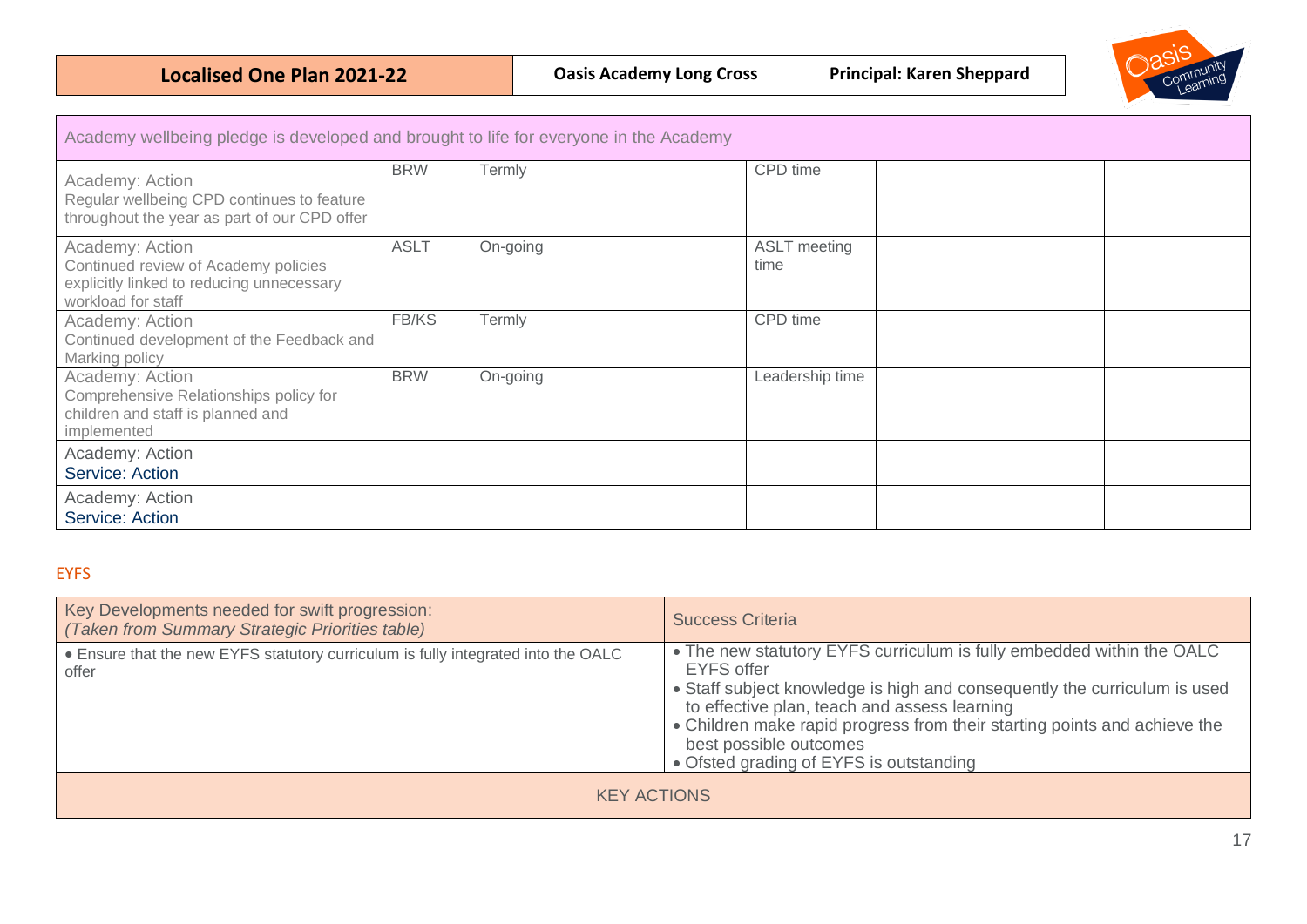

| Academy wellbeing pledge is developed and brought to life for everyone in the Academy                                      |             |          |                             |  |  |
|----------------------------------------------------------------------------------------------------------------------------|-------------|----------|-----------------------------|--|--|
| Academy: Action<br>Regular wellbeing CPD continues to feature<br>throughout the year as part of our CPD offer              | <b>BRW</b>  | Termly   | CPD time                    |  |  |
| Academy: Action<br>Continued review of Academy policies<br>explicitly linked to reducing unnecessary<br>workload for staff | <b>ASLT</b> | On-going | <b>ASLT</b> meeting<br>time |  |  |
| Academy: Action<br>Continued development of the Feedback and<br>Marking policy                                             | FB/KS       | Termly   | CPD time                    |  |  |
| Academy: Action<br>Comprehensive Relationships policy for<br>children and staff is planned and<br>implemented              | <b>BRW</b>  | On-going | Leadership time             |  |  |
| Academy: Action<br>Service: Action                                                                                         |             |          |                             |  |  |
| Academy: Action<br>Service: Action                                                                                         |             |          |                             |  |  |

## <span id="page-16-0"></span>EYFS

| Key Developments needed for swift progression:<br>(Taken from Summary Strategic Priorities table) | <b>Success Criteria</b>                                                                                                                                                                                                                                                                                                                                                   |  |  |  |
|---------------------------------------------------------------------------------------------------|---------------------------------------------------------------------------------------------------------------------------------------------------------------------------------------------------------------------------------------------------------------------------------------------------------------------------------------------------------------------------|--|--|--|
| . Ensure that the new EYFS statutory curriculum is fully integrated into the OALC<br>offer        | • The new statutory EYFS curriculum is fully embedded within the OALC<br><b>EYFS offer</b><br>• Staff subject knowledge is high and consequently the curriculum is used<br>to effective plan, teach and assess learning<br>• Children make rapid progress from their starting points and achieve the<br>best possible outcomes<br>• Ofsted grading of EYFS is outstanding |  |  |  |
| <b>KEY ACTIONS</b>                                                                                |                                                                                                                                                                                                                                                                                                                                                                           |  |  |  |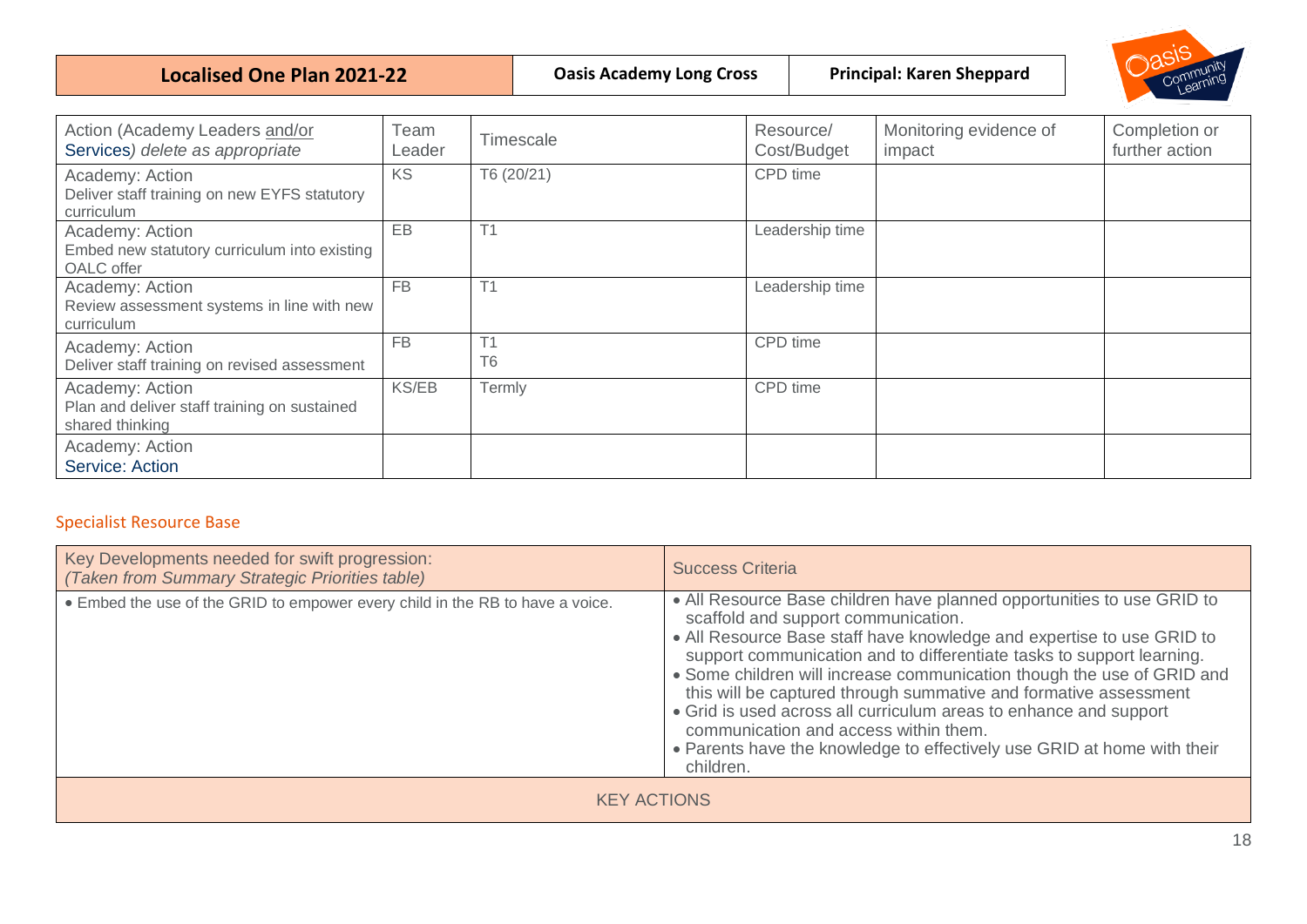**Localised One Plan 2021-22 Dasis Academy Long Cross** Principal: Karen Sheppard



| Action (Academy Leaders and/or<br>Services) delete as appropriate                  | Team<br>Leader | Timescale            | Resource/<br>Cost/Budget | Monitoring evidence of<br>impact | Completion or<br>further action |
|------------------------------------------------------------------------------------|----------------|----------------------|--------------------------|----------------------------------|---------------------------------|
| Academy: Action<br>Deliver staff training on new EYFS statutory<br>curriculum      | KS             | T6 (20/21)           | CPD time                 |                                  |                                 |
| Academy: Action<br>Embed new statutory curriculum into existing<br>OALC offer      | EB             | T1                   | Leadership time          |                                  |                                 |
| Academy: Action<br>Review assessment systems in line with new<br>curriculum        | <b>FB</b>      | T <sub>1</sub>       | Leadership time          |                                  |                                 |
| Academy: Action<br>Deliver staff training on revised assessment                    | <b>FB</b>      | T1<br>T <sub>6</sub> | CPD time                 |                                  |                                 |
| Academy: Action<br>Plan and deliver staff training on sustained<br>shared thinking | <b>KS/EB</b>   | Termly               | CPD time                 |                                  |                                 |
| Academy: Action<br>Service: Action                                                 |                |                      |                          |                                  |                                 |

## Specialist Resource Base

| Key Developments needed for swift progression:<br>(Taken from Summary Strategic Priorities table) | <b>Success Criteria</b>                                                                                                                                                                                                                                                                                                                                                                                                                                                                                                                                                                                             |  |  |  |  |
|---------------------------------------------------------------------------------------------------|---------------------------------------------------------------------------------------------------------------------------------------------------------------------------------------------------------------------------------------------------------------------------------------------------------------------------------------------------------------------------------------------------------------------------------------------------------------------------------------------------------------------------------------------------------------------------------------------------------------------|--|--|--|--|
| • Embed the use of the GRID to empower every child in the RB to have a voice.                     | • All Resource Base children have planned opportunities to use GRID to<br>scaffold and support communication.<br>• All Resource Base staff have knowledge and expertise to use GRID to<br>support communication and to differentiate tasks to support learning.<br>• Some children will increase communication though the use of GRID and<br>this will be captured through summative and formative assessment<br>• Grid is used across all curriculum areas to enhance and support<br>communication and access within them.<br>• Parents have the knowledge to effectively use GRID at home with their<br>children. |  |  |  |  |
| <b>KEY ACTIONS</b>                                                                                |                                                                                                                                                                                                                                                                                                                                                                                                                                                                                                                                                                                                                     |  |  |  |  |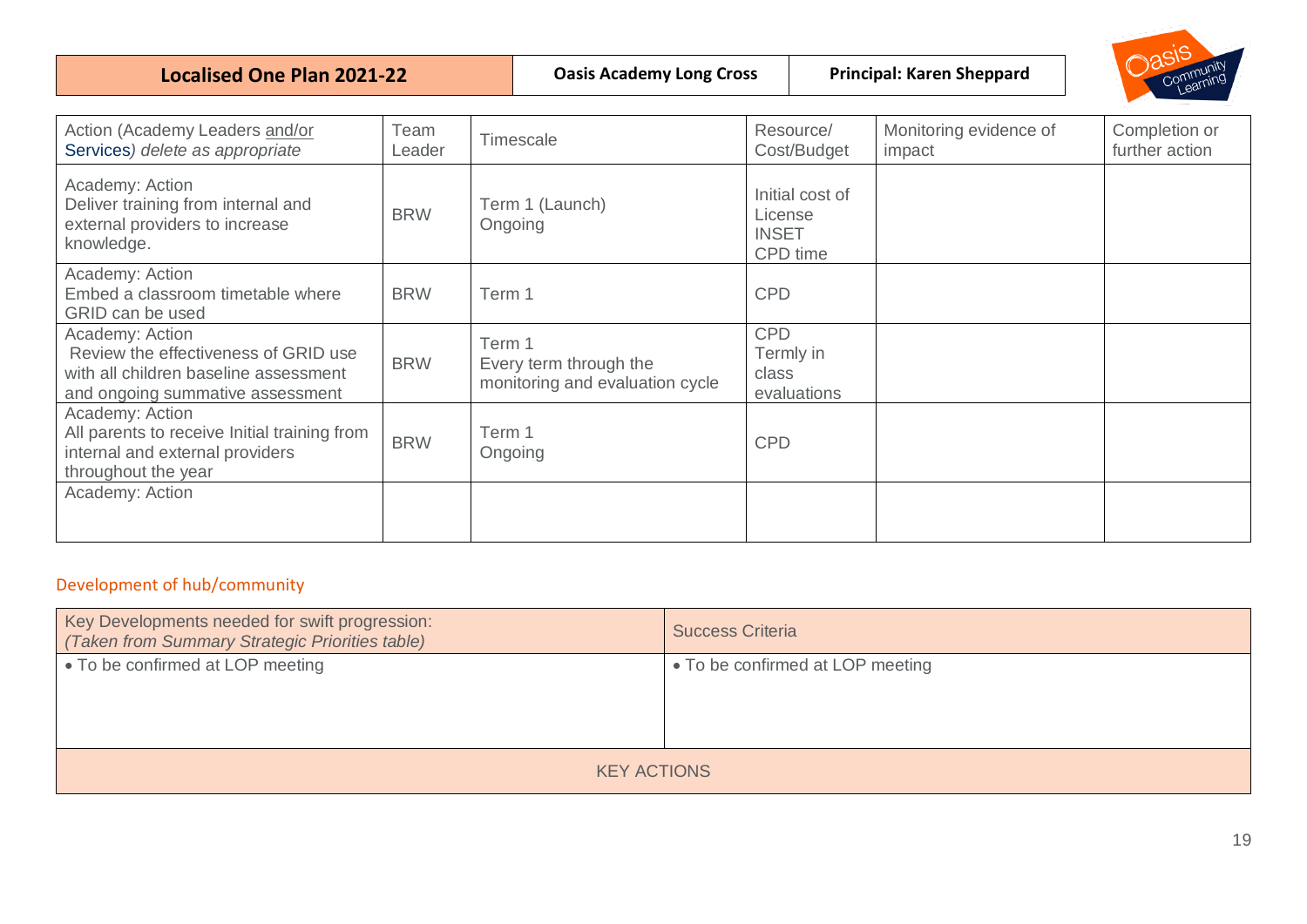**Localised One Plan 2021-22 Dasis Academy Long Cross** Principal: Karen Sheppard



| Action (Academy Leaders and/or<br>Services) delete as appropriate                                                                    | Team<br>Leader | Timescale                                                           | Resource/<br>Cost/Budget                               | Monitoring evidence of<br>impact | Completion or<br>further action |
|--------------------------------------------------------------------------------------------------------------------------------------|----------------|---------------------------------------------------------------------|--------------------------------------------------------|----------------------------------|---------------------------------|
| Academy: Action<br>Deliver training from internal and<br>external providers to increase<br>knowledge.                                | <b>BRW</b>     | Term 1 (Launch)<br>Ongoing                                          | Initial cost of<br>License<br><b>INSET</b><br>CPD time |                                  |                                 |
| Academy: Action<br>Embed a classroom timetable where<br>GRID can be used                                                             | <b>BRW</b>     | Term 1                                                              | <b>CPD</b>                                             |                                  |                                 |
| Academy: Action<br>Review the effectiveness of GRID use<br>with all children baseline assessment<br>and ongoing summative assessment | <b>BRW</b>     | Term 1<br>Every term through the<br>monitoring and evaluation cycle | <b>CPD</b><br>Termly in<br>class<br>evaluations        |                                  |                                 |
| Academy: Action<br>All parents to receive Initial training from<br>internal and external providers<br>throughout the year            | <b>BRW</b>     | Term 1<br>Ongoing                                                   | <b>CPD</b>                                             |                                  |                                 |
| Academy: Action                                                                                                                      |                |                                                                     |                                                        |                                  |                                 |

# <span id="page-18-0"></span>Development of hub/community

| Key Developments needed for swift progression:<br>(Taken from Summary Strategic Priorities table) | <b>Success Criteria</b>          |  |  |  |  |
|---------------------------------------------------------------------------------------------------|----------------------------------|--|--|--|--|
| • To be confirmed at LOP meeting                                                                  | • To be confirmed at LOP meeting |  |  |  |  |
| <b>KEY ACTIONS</b>                                                                                |                                  |  |  |  |  |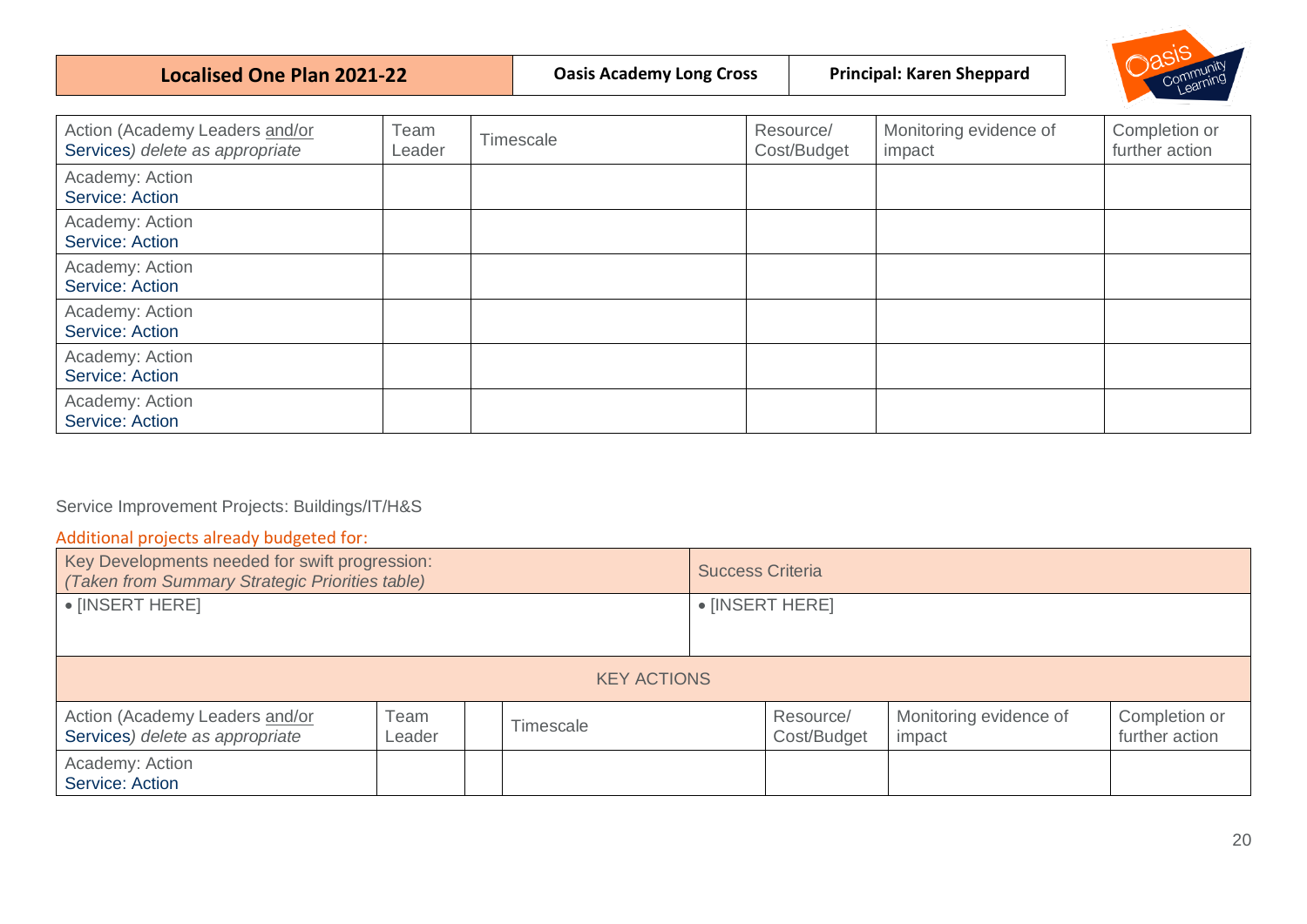| Localised One Plan 2021-22 | <b>Oasis Academy Long Cross</b> | <b>Principal: Karen Sheppard</b> | Commu |
|----------------------------|---------------------------------|----------------------------------|-------|
|----------------------------|---------------------------------|----------------------------------|-------|

| Community<br>Learning |  |
|-----------------------|--|
|                       |  |

| Action (Academy Leaders and/or<br>Services) delete as appropriate | Team<br>Leader | Timescale | Resource/<br>Cost/Budget | Monitoring evidence of<br>impact | Completion or<br>further action |
|-------------------------------------------------------------------|----------------|-----------|--------------------------|----------------------------------|---------------------------------|
| Academy: Action<br>Service: Action                                |                |           |                          |                                  |                                 |
| Academy: Action<br>Service: Action                                |                |           |                          |                                  |                                 |
| Academy: Action<br>Service: Action                                |                |           |                          |                                  |                                 |
| Academy: Action<br>Service: Action                                |                |           |                          |                                  |                                 |
| Academy: Action<br>Service: Action                                |                |           |                          |                                  |                                 |
| Academy: Action<br>Service: Action                                |                |           |                          |                                  |                                 |

# <span id="page-19-0"></span>Service Improvement Projects: Buildings/IT/H&S

# <span id="page-19-1"></span>Additional projects already budgeted for:

| Key Developments needed for swift progression:<br>(Taken from Summary Strategic Priorities table) |                |  |                    |  | <b>Success Criteria</b>  |                                  |                                 |  |
|---------------------------------------------------------------------------------------------------|----------------|--|--------------------|--|--------------------------|----------------------------------|---------------------------------|--|
| • [INSERT HERE]                                                                                   |                |  |                    |  | $\bullet$ [INSERT HERE]  |                                  |                                 |  |
|                                                                                                   |                |  |                    |  |                          |                                  |                                 |  |
|                                                                                                   |                |  | <b>KEY ACTIONS</b> |  |                          |                                  |                                 |  |
| Action (Academy Leaders and/or<br>Services) delete as appropriate                                 | Team<br>Leader |  | Timescale          |  | Resource/<br>Cost/Budget | Monitoring evidence of<br>impact | Completion or<br>further action |  |
| Academy: Action<br>Service: Action                                                                |                |  |                    |  |                          |                                  |                                 |  |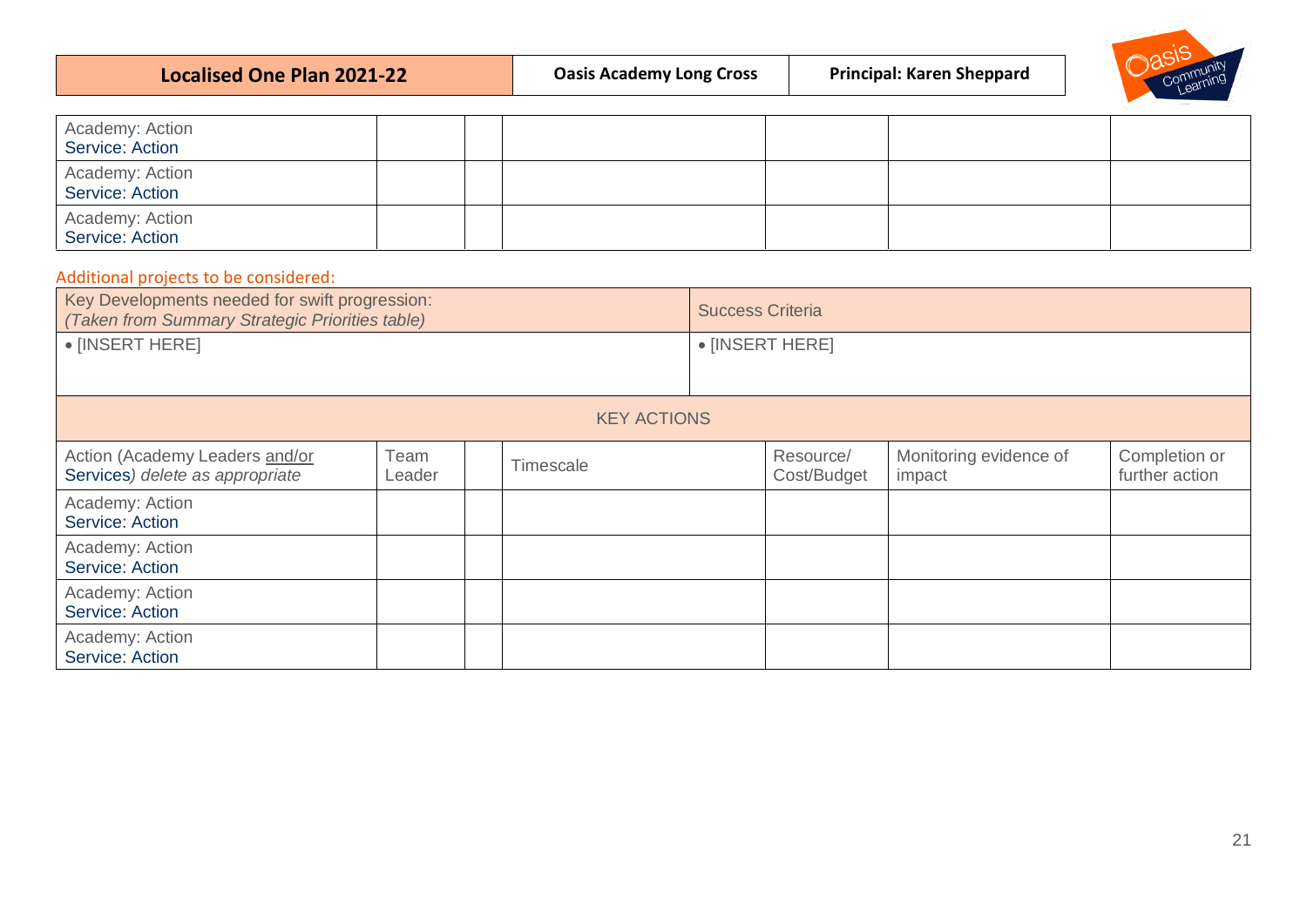| Community<br><b>Principal: Karen Sheppard</b><br><b>Oasis Academy Long Cross</b><br>Localised One Plan 2021-22 |
|----------------------------------------------------------------------------------------------------------------|
|----------------------------------------------------------------------------------------------------------------|

| Academy: Action<br>Service: Action |  |  |  |
|------------------------------------|--|--|--|
| Academy: Action<br>Service: Action |  |  |  |
| Academy: Action<br>Service: Action |  |  |  |

### <span id="page-20-0"></span>Additional projects to be considered:

| Key Developments needed for swift progression:<br>(Taken from Summary Strategic Priorities table) |                |  | <b>Success Criteria</b> |  |                          |                                  |                                 |
|---------------------------------------------------------------------------------------------------|----------------|--|-------------------------|--|--------------------------|----------------------------------|---------------------------------|
| • [INSERT HERE]                                                                                   |                |  | $\bullet$ [INSERT HERE] |  |                          |                                  |                                 |
|                                                                                                   |                |  | <b>KEY ACTIONS</b>      |  |                          |                                  |                                 |
| Action (Academy Leaders and/or<br>Services) delete as appropriate                                 | Team<br>Leader |  | Timescale               |  | Resource/<br>Cost/Budget | Monitoring evidence of<br>impact | Completion or<br>further action |
| Academy: Action<br>Service: Action                                                                |                |  |                         |  |                          |                                  |                                 |
| Academy: Action<br>Service: Action                                                                |                |  |                         |  |                          |                                  |                                 |
| Academy: Action<br>Service: Action                                                                |                |  |                         |  |                          |                                  |                                 |
| Academy: Action<br>Service: Action                                                                |                |  |                         |  |                          |                                  |                                 |

 $\overline{\mathcal{L}}$ 

び